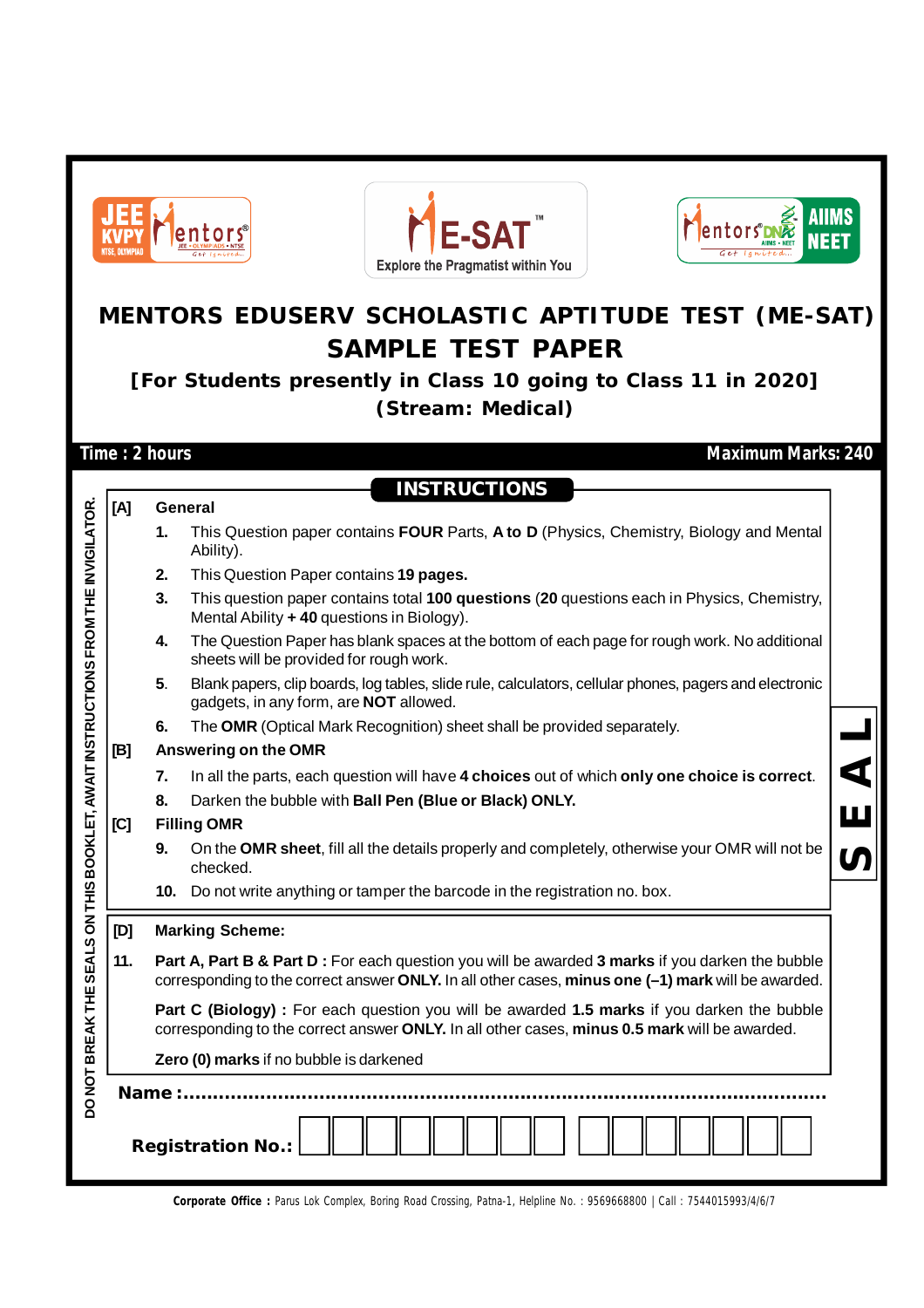|                                                | NTSE. OLYMPIAE           | <b>AIIMS</b><br><b>E-SAT</b><br>lentors<br>entors<br><b>NEET</b><br><b>Explore the Pragmatist within You</b><br>MENTORS EDUSERV SCHOLASTIC APTITUDE TEST (ME-SAT)<br><b>SAMPLE TEST PAPER</b><br>[For Students presently in Class 10 going to Class 11 in 2020]<br>(Stream: Medical) |  |  |  |  |  |  |
|------------------------------------------------|--------------------------|--------------------------------------------------------------------------------------------------------------------------------------------------------------------------------------------------------------------------------------------------------------------------------------|--|--|--|--|--|--|
|                                                |                          | Time: 2 hours<br><b>Maximum Marks: 240</b>                                                                                                                                                                                                                                           |  |  |  |  |  |  |
|                                                |                          |                                                                                                                                                                                                                                                                                      |  |  |  |  |  |  |
|                                                |                          | <b>INSTRUCTIONS</b><br><b>General</b>                                                                                                                                                                                                                                                |  |  |  |  |  |  |
| KLET, AWAIT INSTRUCTIONS FROM THE INVIGILATOR. | [A]                      | This Question paper contains FOUR Parts, A to D (Physics, Chemistry, Biology and Mental<br>1.<br>Ability).                                                                                                                                                                           |  |  |  |  |  |  |
|                                                |                          | This Question Paper contains 19 pages.<br>2.                                                                                                                                                                                                                                         |  |  |  |  |  |  |
|                                                |                          | 3.<br>This question paper contains total 100 questions (20 questions each in Physics, Chemistry,<br>Mental Ability + 40 questions in Biology).                                                                                                                                       |  |  |  |  |  |  |
|                                                |                          | The Question Paper has blank spaces at the bottom of each page for rough work. No additional<br>4.<br>sheets will be provided for rough work.                                                                                                                                        |  |  |  |  |  |  |
|                                                |                          | 5.<br>Blank papers, clip boards, log tables, slide rule, calculators, cellular phones, pagers and electronic<br>gadgets, in any form, are NOT allowed.                                                                                                                               |  |  |  |  |  |  |
|                                                |                          | The OMR (Optical Mark Recognition) sheet shall be provided separately.<br>6.                                                                                                                                                                                                         |  |  |  |  |  |  |
|                                                | [B]                      | Answering on the OMR                                                                                                                                                                                                                                                                 |  |  |  |  |  |  |
|                                                |                          | In all the parts, each question will have 4 choices out of which only one choice is correct.<br>7.                                                                                                                                                                                   |  |  |  |  |  |  |
|                                                |                          | Darken the bubble with Ball Pen (Blue or Black) ONLY.<br>8.                                                                                                                                                                                                                          |  |  |  |  |  |  |
|                                                | [C]                      | <b>Filling OMR</b>                                                                                                                                                                                                                                                                   |  |  |  |  |  |  |
| <b>DOB</b>                                     |                          | On the OMR sheet, fill all the details properly and completely, otherwise your OMR will not be<br>9.<br>checked.                                                                                                                                                                     |  |  |  |  |  |  |
|                                                |                          | Do not write anything or tamper the barcode in the registration no. box.<br>10.                                                                                                                                                                                                      |  |  |  |  |  |  |
|                                                | [D]                      | <b>Marking Scheme:</b>                                                                                                                                                                                                                                                               |  |  |  |  |  |  |
|                                                | 11.                      | Part A, Part B & Part D : For each question you will be awarded 3 marks if you darken the bubble                                                                                                                                                                                     |  |  |  |  |  |  |
|                                                |                          | corresponding to the correct answer ONLY. In all other cases, minus one (-1) mark will be awarded.                                                                                                                                                                                   |  |  |  |  |  |  |
| DO NOT BREAK THE SEALS ON THIS                 |                          | Part C (Biology) : For each question you will be awarded 1.5 marks if you darken the bubble<br>corresponding to the correct answer ONLY. In all other cases, minus 0.5 mark will be awarded.                                                                                         |  |  |  |  |  |  |
|                                                |                          | Zero (0) marks if no bubble is darkened                                                                                                                                                                                                                                              |  |  |  |  |  |  |
|                                                |                          |                                                                                                                                                                                                                                                                                      |  |  |  |  |  |  |
|                                                | <b>Registration No.:</b> |                                                                                                                                                                                                                                                                                      |  |  |  |  |  |  |

**Corporate Office :** Parus Lok Complex, Boring Road Crossing, Patna-1, Helpline No. : 9569668800 | Call : 7544015993/4/6/7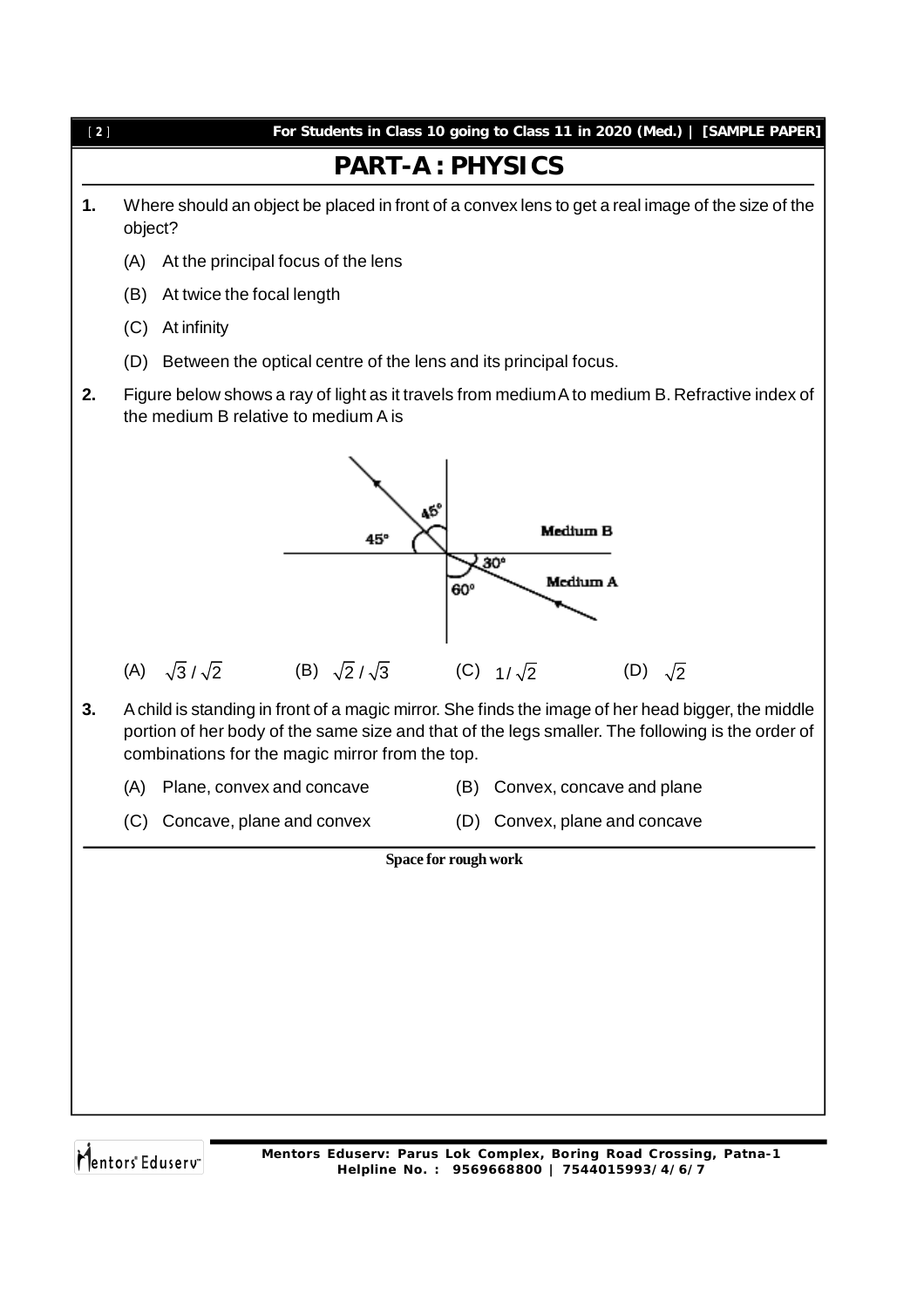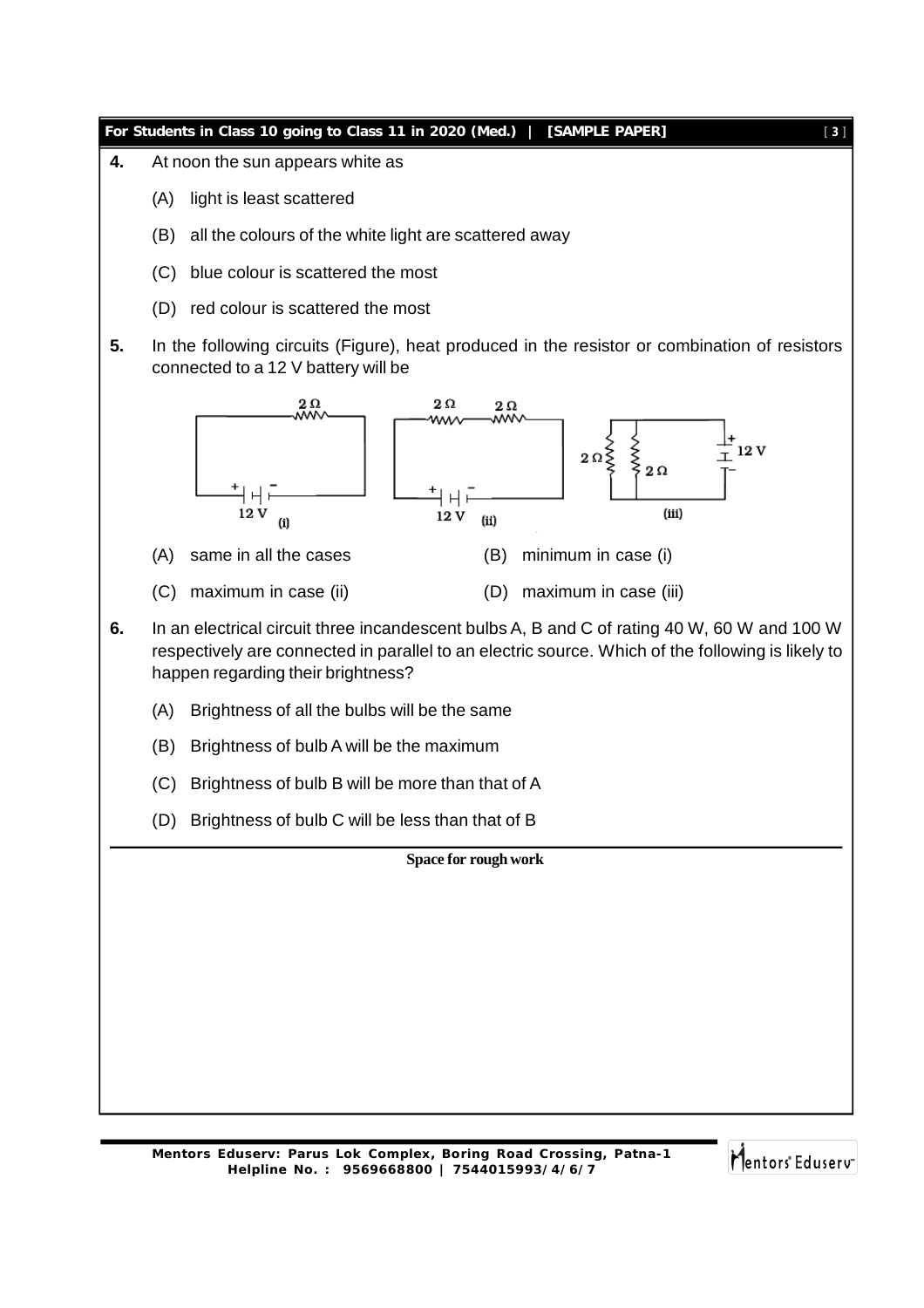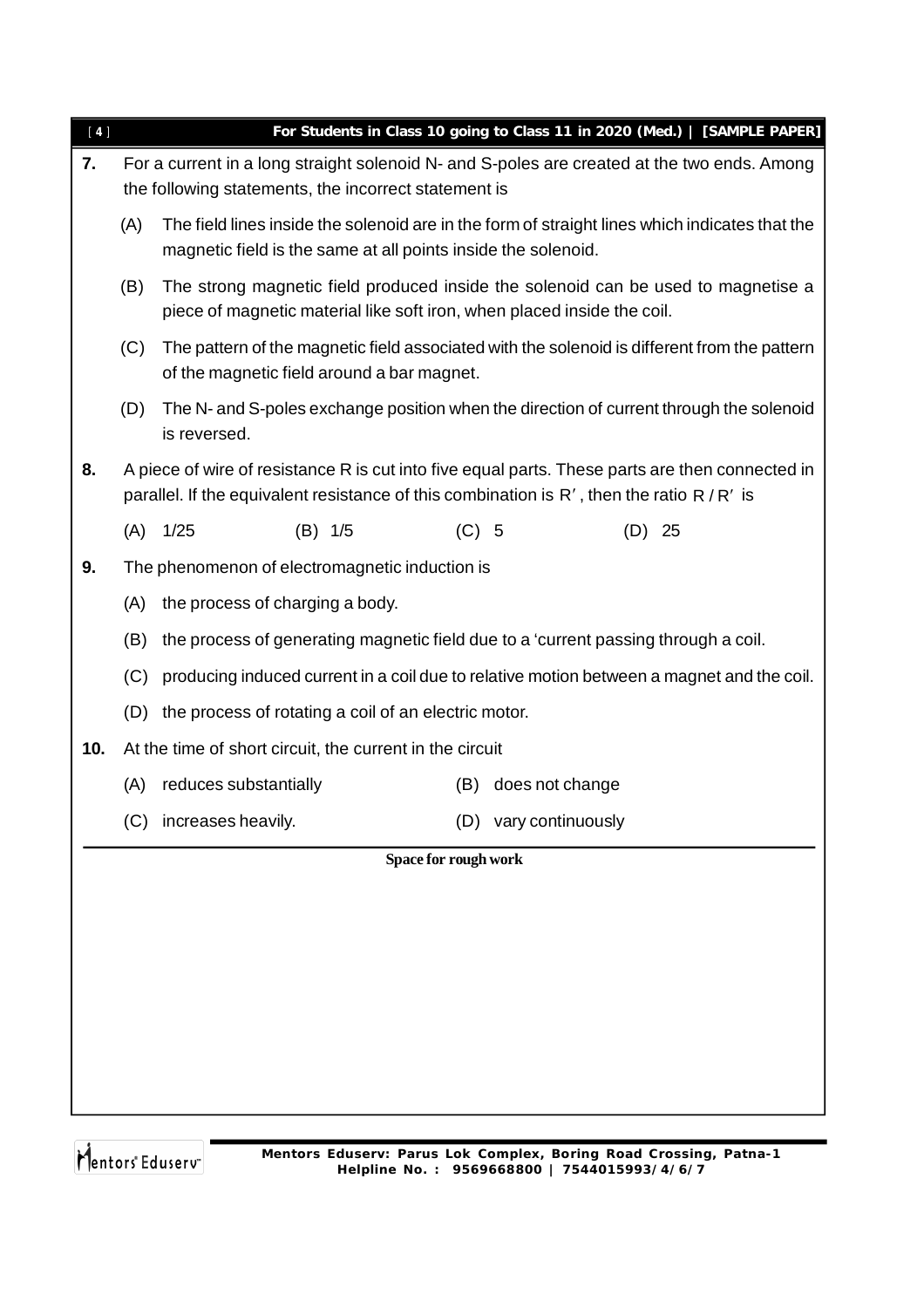| 7.<br>For a current in a long straight solenoid N- and S-poles are created at the two ends. Among<br>the following statements, the incorrect statement is |                                                                                                                                                                 |     |                                            |                                                                                                                                                                                                                                                                                                                                                                                                                                                                                                                                                                                                                                                                                                                                                                                                                                                                                                                                                                                                                                                                |  |  |  |
|-----------------------------------------------------------------------------------------------------------------------------------------------------------|-----------------------------------------------------------------------------------------------------------------------------------------------------------------|-----|--------------------------------------------|----------------------------------------------------------------------------------------------------------------------------------------------------------------------------------------------------------------------------------------------------------------------------------------------------------------------------------------------------------------------------------------------------------------------------------------------------------------------------------------------------------------------------------------------------------------------------------------------------------------------------------------------------------------------------------------------------------------------------------------------------------------------------------------------------------------------------------------------------------------------------------------------------------------------------------------------------------------------------------------------------------------------------------------------------------------|--|--|--|
| (A)                                                                                                                                                       | The field lines inside the solenoid are in the form of straight lines which indicates that the<br>magnetic field is the same at all points inside the solenoid. |     |                                            |                                                                                                                                                                                                                                                                                                                                                                                                                                                                                                                                                                                                                                                                                                                                                                                                                                                                                                                                                                                                                                                                |  |  |  |
| (B)                                                                                                                                                       |                                                                                                                                                                 |     |                                            |                                                                                                                                                                                                                                                                                                                                                                                                                                                                                                                                                                                                                                                                                                                                                                                                                                                                                                                                                                                                                                                                |  |  |  |
| (C)                                                                                                                                                       |                                                                                                                                                                 |     |                                            |                                                                                                                                                                                                                                                                                                                                                                                                                                                                                                                                                                                                                                                                                                                                                                                                                                                                                                                                                                                                                                                                |  |  |  |
| (D)                                                                                                                                                       | is reversed.                                                                                                                                                    |     |                                            |                                                                                                                                                                                                                                                                                                                                                                                                                                                                                                                                                                                                                                                                                                                                                                                                                                                                                                                                                                                                                                                                |  |  |  |
|                                                                                                                                                           |                                                                                                                                                                 |     |                                            |                                                                                                                                                                                                                                                                                                                                                                                                                                                                                                                                                                                                                                                                                                                                                                                                                                                                                                                                                                                                                                                                |  |  |  |
| (A)                                                                                                                                                       | 1/25<br>$(B)$ 1/5                                                                                                                                               |     |                                            | $(D)$ 25                                                                                                                                                                                                                                                                                                                                                                                                                                                                                                                                                                                                                                                                                                                                                                                                                                                                                                                                                                                                                                                       |  |  |  |
|                                                                                                                                                           |                                                                                                                                                                 |     |                                            |                                                                                                                                                                                                                                                                                                                                                                                                                                                                                                                                                                                                                                                                                                                                                                                                                                                                                                                                                                                                                                                                |  |  |  |
| (A)                                                                                                                                                       | the process of charging a body.                                                                                                                                 |     |                                            |                                                                                                                                                                                                                                                                                                                                                                                                                                                                                                                                                                                                                                                                                                                                                                                                                                                                                                                                                                                                                                                                |  |  |  |
| (B)                                                                                                                                                       |                                                                                                                                                                 |     |                                            |                                                                                                                                                                                                                                                                                                                                                                                                                                                                                                                                                                                                                                                                                                                                                                                                                                                                                                                                                                                                                                                                |  |  |  |
| (C)                                                                                                                                                       |                                                                                                                                                                 |     |                                            |                                                                                                                                                                                                                                                                                                                                                                                                                                                                                                                                                                                                                                                                                                                                                                                                                                                                                                                                                                                                                                                                |  |  |  |
| (D)                                                                                                                                                       |                                                                                                                                                                 |     |                                            |                                                                                                                                                                                                                                                                                                                                                                                                                                                                                                                                                                                                                                                                                                                                                                                                                                                                                                                                                                                                                                                                |  |  |  |
|                                                                                                                                                           |                                                                                                                                                                 |     |                                            |                                                                                                                                                                                                                                                                                                                                                                                                                                                                                                                                                                                                                                                                                                                                                                                                                                                                                                                                                                                                                                                                |  |  |  |
| (A)                                                                                                                                                       | reduces substantially                                                                                                                                           | (B) | does not change                            |                                                                                                                                                                                                                                                                                                                                                                                                                                                                                                                                                                                                                                                                                                                                                                                                                                                                                                                                                                                                                                                                |  |  |  |
| (C)                                                                                                                                                       | increases heavily.                                                                                                                                              |     |                                            |                                                                                                                                                                                                                                                                                                                                                                                                                                                                                                                                                                                                                                                                                                                                                                                                                                                                                                                                                                                                                                                                |  |  |  |
|                                                                                                                                                           |                                                                                                                                                                 |     |                                            |                                                                                                                                                                                                                                                                                                                                                                                                                                                                                                                                                                                                                                                                                                                                                                                                                                                                                                                                                                                                                                                                |  |  |  |
|                                                                                                                                                           |                                                                                                                                                                 |     |                                            |                                                                                                                                                                                                                                                                                                                                                                                                                                                                                                                                                                                                                                                                                                                                                                                                                                                                                                                                                                                                                                                                |  |  |  |
|                                                                                                                                                           |                                                                                                                                                                 |     |                                            |                                                                                                                                                                                                                                                                                                                                                                                                                                                                                                                                                                                                                                                                                                                                                                                                                                                                                                                                                                                                                                                                |  |  |  |
|                                                                                                                                                           |                                                                                                                                                                 |     |                                            |                                                                                                                                                                                                                                                                                                                                                                                                                                                                                                                                                                                                                                                                                                                                                                                                                                                                                                                                                                                                                                                                |  |  |  |
|                                                                                                                                                           |                                                                                                                                                                 |     |                                            |                                                                                                                                                                                                                                                                                                                                                                                                                                                                                                                                                                                                                                                                                                                                                                                                                                                                                                                                                                                                                                                                |  |  |  |
|                                                                                                                                                           |                                                                                                                                                                 |     |                                            |                                                                                                                                                                                                                                                                                                                                                                                                                                                                                                                                                                                                                                                                                                                                                                                                                                                                                                                                                                                                                                                                |  |  |  |
|                                                                                                                                                           |                                                                                                                                                                 |     |                                            |                                                                                                                                                                                                                                                                                                                                                                                                                                                                                                                                                                                                                                                                                                                                                                                                                                                                                                                                                                                                                                                                |  |  |  |
|                                                                                                                                                           |                                                                                                                                                                 |     | of the magnetic field around a bar magnet. | For Students in Class 10 going to Class 11 in 2020 (Med.)   [SAMPLE PAPER]<br>The strong magnetic field produced inside the solenoid can be used to magnetise a<br>piece of magnetic material like soft iron, when placed inside the coil.<br>The pattern of the magnetic field associated with the solenoid is different from the pattern<br>The N- and S-poles exchange position when the direction of current through the solenoid<br>A piece of wire of resistance R is cut into five equal parts. These parts are then connected in<br>parallel. If the equivalent resistance of this combination is $R'$ , then the ratio $R/R'$ is<br>$(C)$ 5<br>The phenomenon of electromagnetic induction is<br>the process of generating magnetic field due to a 'current passing through a coil.<br>producing induced current in a coil due to relative motion between a magnet and the coil.<br>the process of rotating a coil of an electric motor.<br>At the time of short circuit, the current in the circuit<br>(D) vary continuously<br>Space for rough work |  |  |  |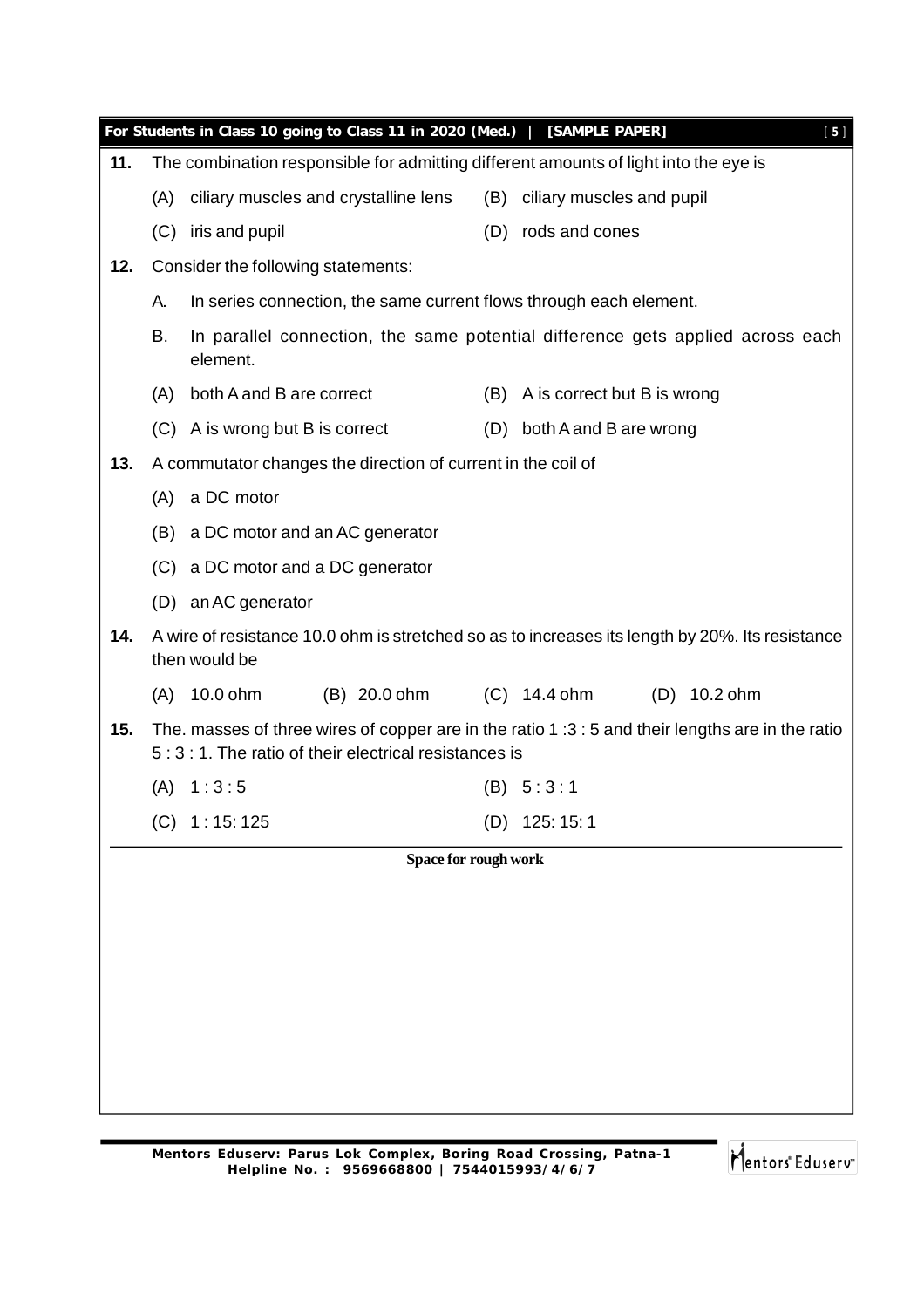|     |     | For Students in Class 10 going to Class 11 in 2020 (Med.)   [SAMPLE PAPER]           | $[5]$                                                                                           |
|-----|-----|--------------------------------------------------------------------------------------|-------------------------------------------------------------------------------------------------|
| 11. |     | The combination responsible for admitting different amounts of light into the eye is |                                                                                                 |
|     | (A) | ciliary muscles and crystalline lens                                                 | (B) ciliary muscles and pupil                                                                   |
|     | (C) | iris and pupil                                                                       | (D) rods and cones                                                                              |
| 12. |     | Consider the following statements:                                                   |                                                                                                 |
|     | А.  | In series connection, the same current flows through each element.                   |                                                                                                 |
|     | В.  | element.                                                                             | In parallel connection, the same potential difference gets applied across each                  |
|     | (A) | both A and B are correct                                                             | (B) A is correct but B is wrong                                                                 |
|     |     | (C) A is wrong but B is correct                                                      | (D) both A and B are wrong                                                                      |
| 13. |     | A commutator changes the direction of current in the coil of                         |                                                                                                 |
|     | (A) | a DC motor                                                                           |                                                                                                 |
|     | (B) | a DC motor and an AC generator                                                       |                                                                                                 |
|     |     | (C) a DC motor and a DC generator                                                    |                                                                                                 |
|     |     | (D) an AC generator                                                                  |                                                                                                 |
| 14. |     | then would be                                                                        | A wire of resistance 10.0 ohm is stretched so as to increases its length by 20%. Its resistance |
|     | (A) | (B) 20.0 ohm<br>10.0 ohm                                                             | $(C)$ 14.4 ohm<br>(D) 10.2 ohm                                                                  |
| 15. |     | 5:3:1. The ratio of their electrical resistances is                                  | The. masses of three wires of copper are in the ratio 1:3: 5 and their lengths are in the ratio |
|     | (A) | 1:3:5                                                                                | (B) 5:3:1                                                                                       |
|     |     | $(C)$ 1:15:125                                                                       | (D) 125:15:1                                                                                    |
|     |     | Space for rough work                                                                 |                                                                                                 |
|     |     |                                                                                      |                                                                                                 |
|     |     |                                                                                      |                                                                                                 |
|     |     |                                                                                      |                                                                                                 |
|     |     |                                                                                      |                                                                                                 |
|     |     |                                                                                      |                                                                                                 |
|     |     |                                                                                      |                                                                                                 |
|     |     |                                                                                      |                                                                                                 |

Mentors<sup>e</sup> Eduserv<sup>-</sup>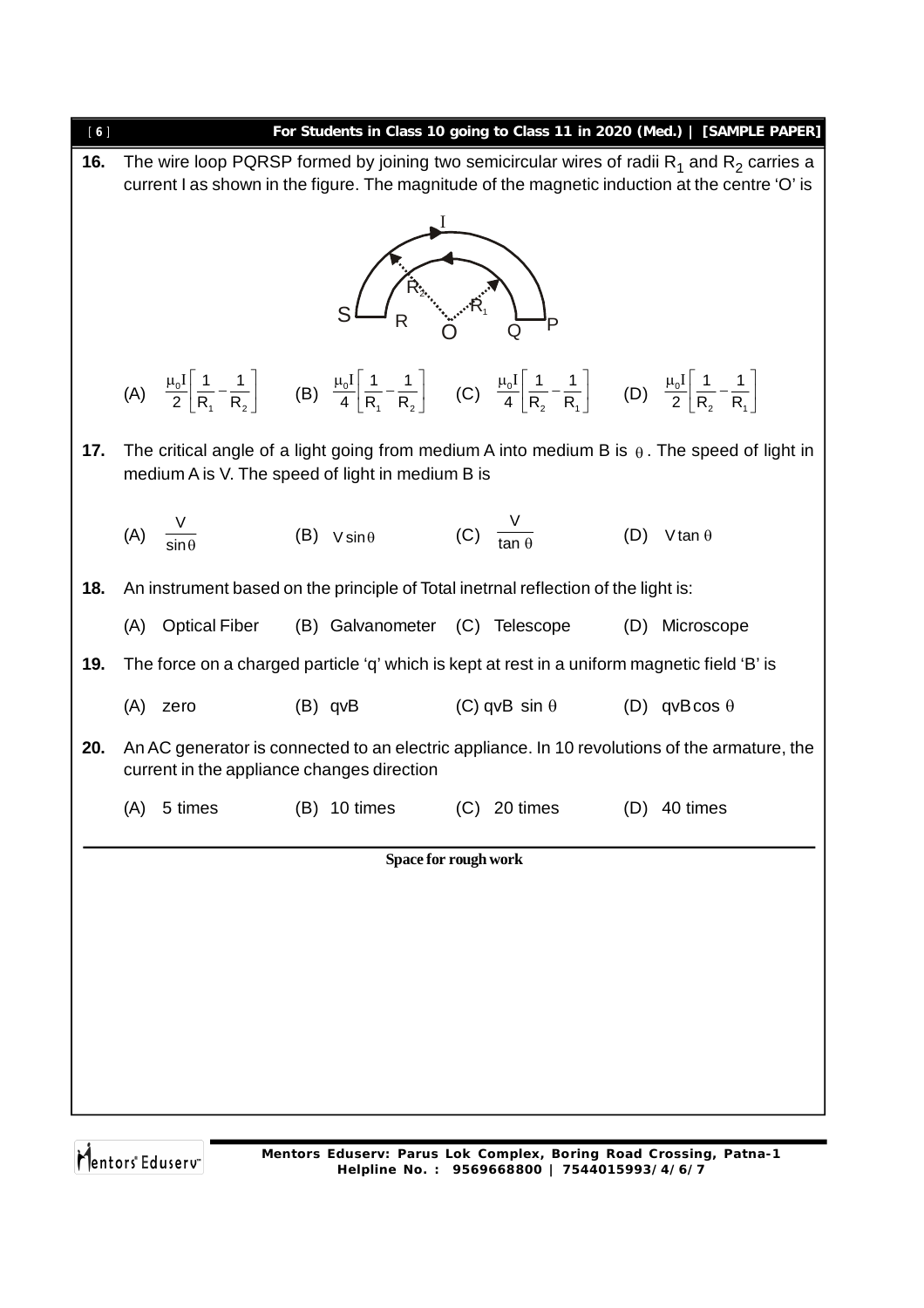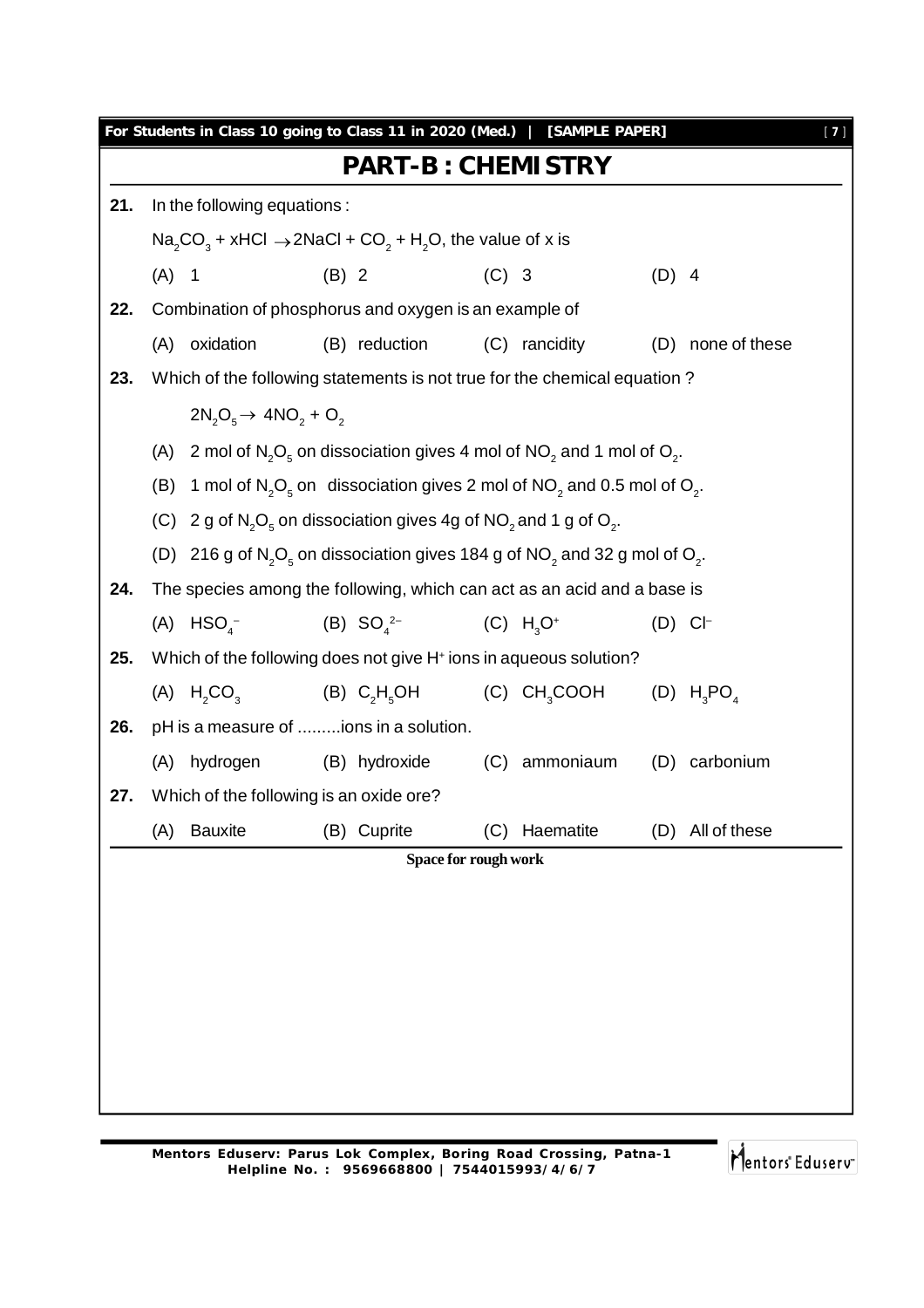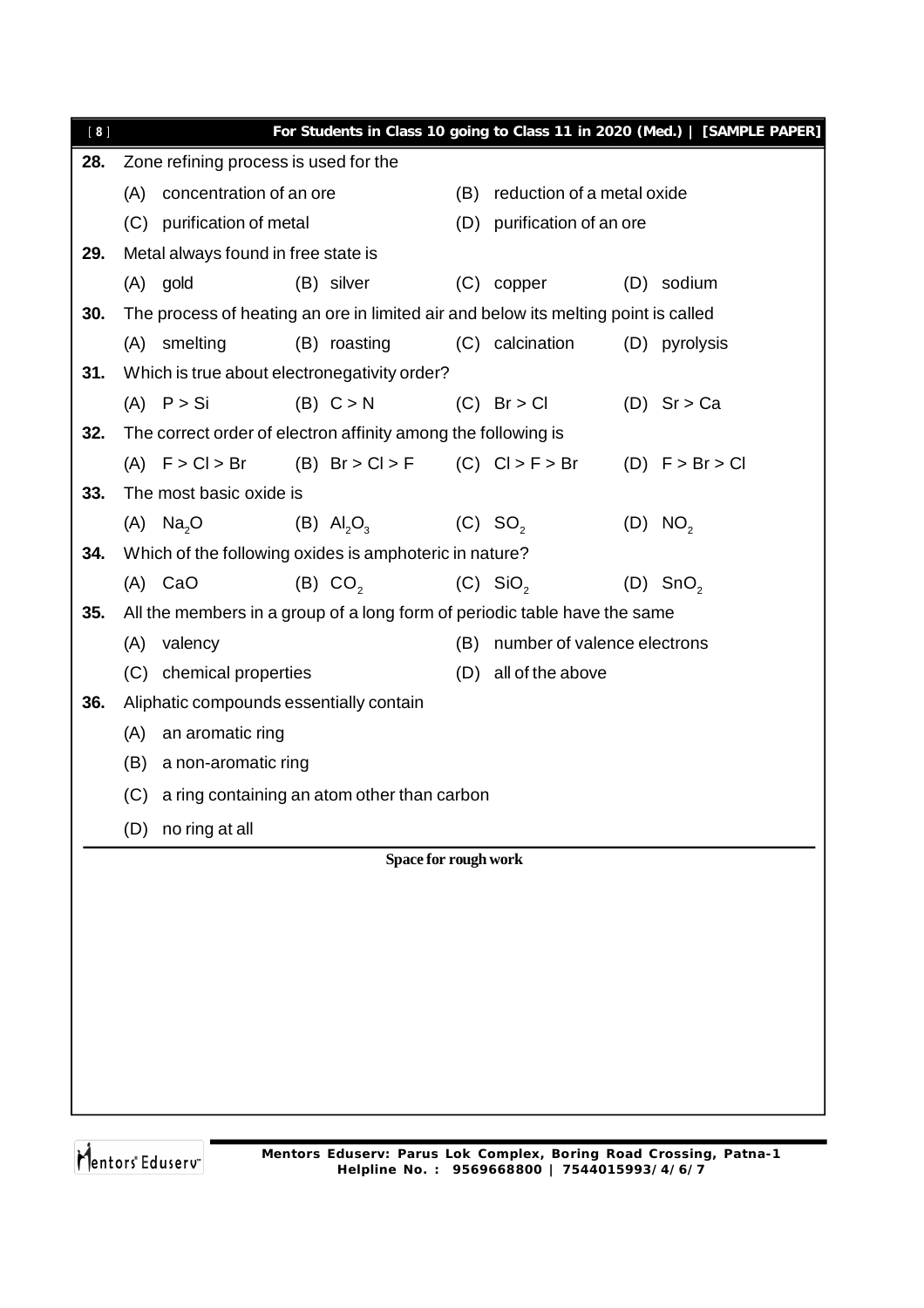| [8] |                                                                                    | For Students in Class 10 going to Class 11 in 2020 (Med.)   [SAMPLE PAPER] |
|-----|------------------------------------------------------------------------------------|----------------------------------------------------------------------------|
| 28. | Zone refining process is used for the                                              |                                                                            |
|     | (A) concentration of an ore                                                        | reduction of a metal oxide<br>(B)                                          |
|     | (C) purification of metal                                                          | (D) purification of an ore                                                 |
| 29. | Metal always found in free state is                                                |                                                                            |
|     | (A) gold<br>(B) silver                                                             | (C) copper<br>(D) sodium                                                   |
| 30. | The process of heating an ore in limited air and below its melting point is called |                                                                            |
|     | (B) roasting<br>(A) smelting                                                       | (C) calcination<br>(D) pyrolysis                                           |
| 31. | Which is true about electronegativity order?                                       |                                                                            |
|     | $(A)$ $P > Si$<br>(B) C > N                                                        | $(D)$ Sr > Ca<br>$(C)$ Br > Cl                                             |
| 32. | The correct order of electron affinity among the following is                      |                                                                            |
|     | (A) $F > C l > Br$ (B) $Br > C l > F$ (C) $C l > F > Br$ (D) $F > Br > Cl$         |                                                                            |
| 33. | The most basic oxide is                                                            |                                                                            |
|     | (B) $AI_2O_3$ (C) SO <sub>2</sub><br>$(A)$ Na <sub>2</sub> O                       | (D) NO <sub>2</sub>                                                        |
| 34. | Which of the following oxides is amphoteric in nature?                             |                                                                            |
|     | (A) CaO<br>(B) CO <sub>2</sub>                                                     | $(C)$ SiO <sub>2</sub><br>$(D)$ SnO <sub>2</sub>                           |
| 35. | All the members in a group of a long form of periodic table have the same          |                                                                            |
|     | (A) valency                                                                        | number of valence electrons<br>(B)                                         |
|     | (C) chemical properties                                                            | (D) all of the above                                                       |
| 36. | Aliphatic compounds essentially contain                                            |                                                                            |
|     | (A)<br>an aromatic ring                                                            |                                                                            |
|     | (B)<br>a non-aromatic ring                                                         |                                                                            |
|     | (C)<br>a ring containing an atom other than carbon                                 |                                                                            |
|     | no ring at all<br>(D)                                                              |                                                                            |
|     |                                                                                    | Space for rough work                                                       |
|     |                                                                                    |                                                                            |
|     |                                                                                    |                                                                            |
|     |                                                                                    |                                                                            |
|     |                                                                                    |                                                                            |
|     |                                                                                    |                                                                            |
|     |                                                                                    |                                                                            |
|     |                                                                                    |                                                                            |
|     |                                                                                    |                                                                            |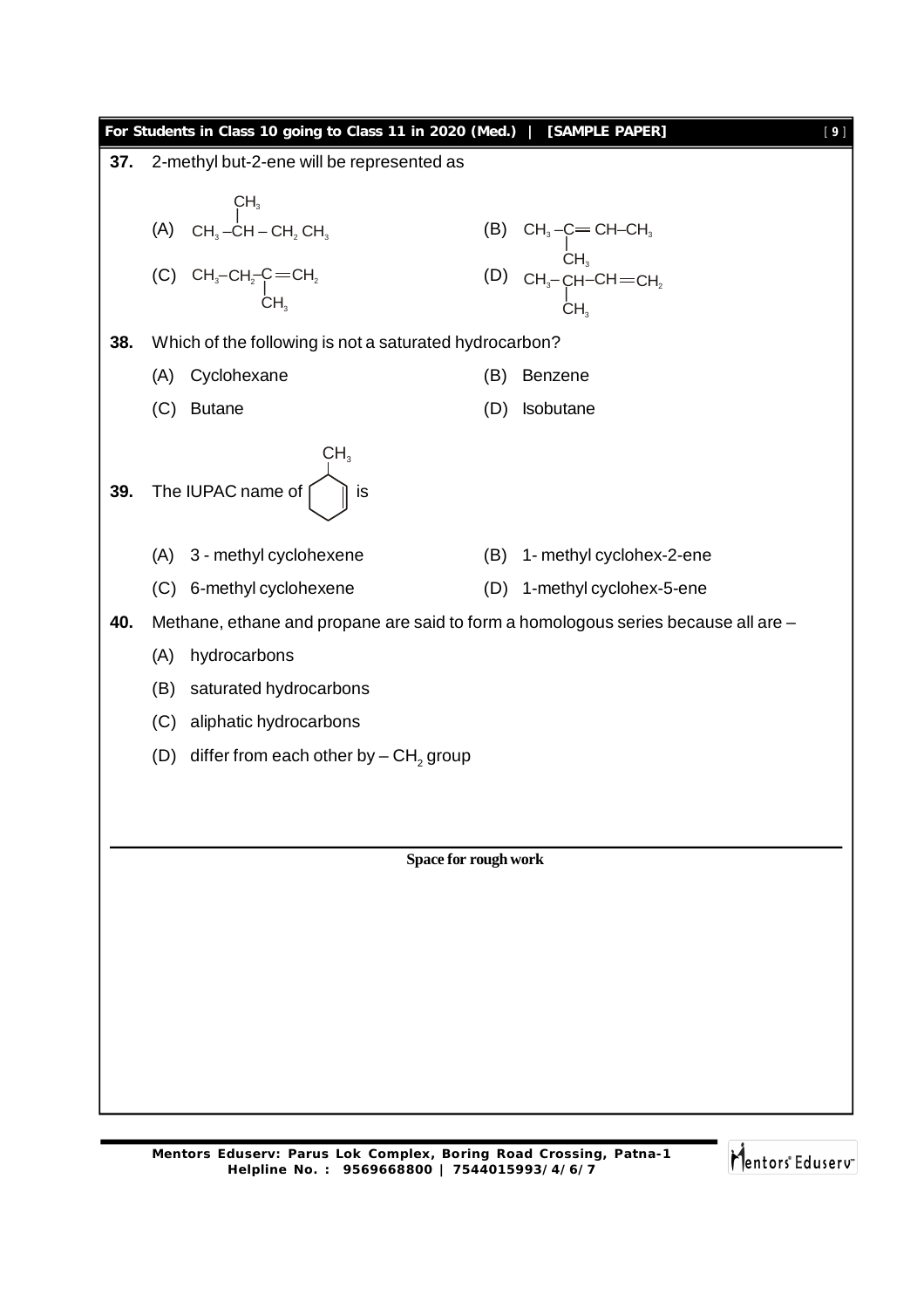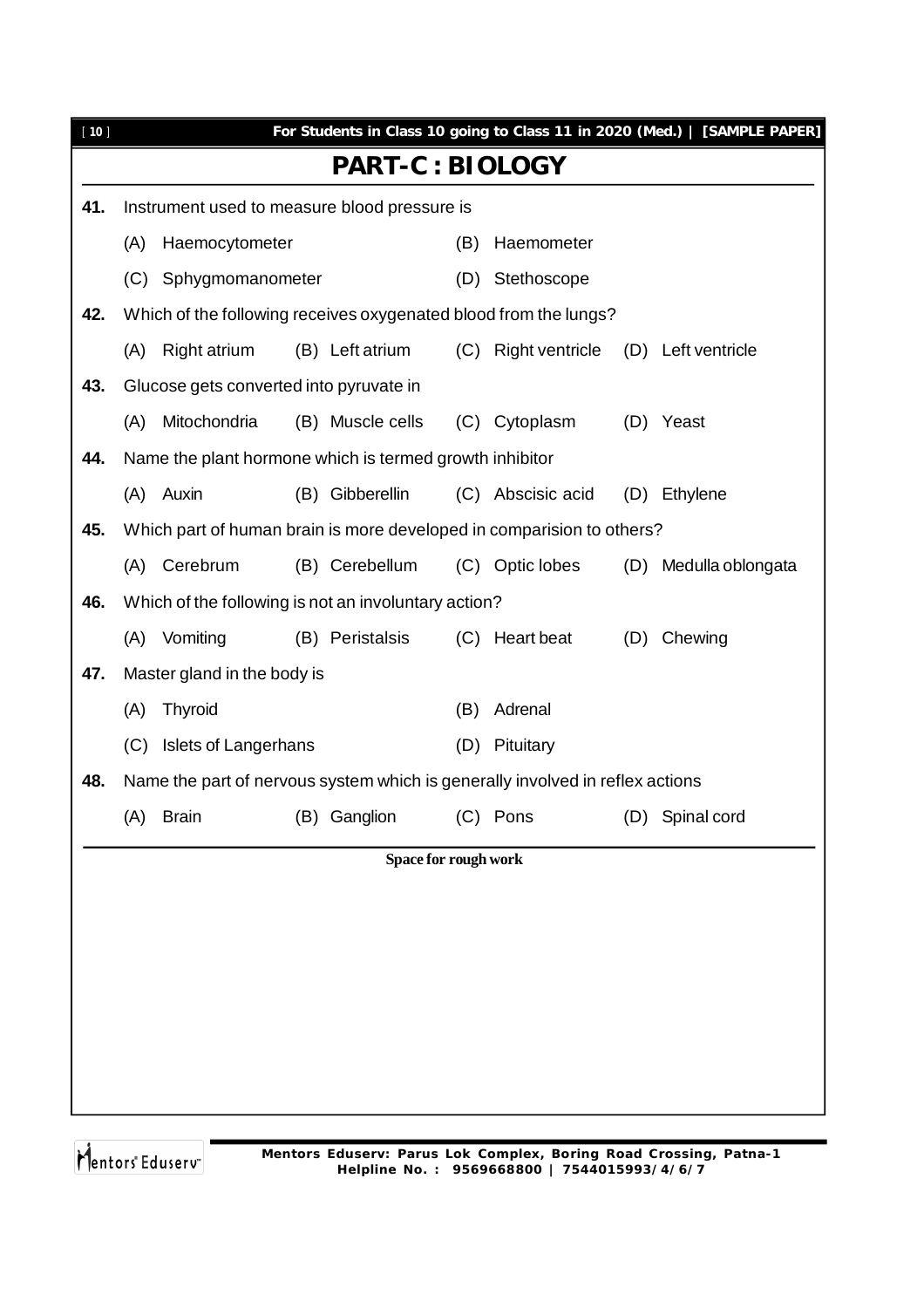| $[10]$ |     |                                                                               |  |                        |     |                     |     | For Students in Class 10 going to Class 11 in 2020 (Med.)   [SAMPLE PAPER] |
|--------|-----|-------------------------------------------------------------------------------|--|------------------------|-----|---------------------|-----|----------------------------------------------------------------------------|
|        |     |                                                                               |  | <b>PART-C: BIOLOGY</b> |     |                     |     |                                                                            |
| 41.    |     | Instrument used to measure blood pressure is                                  |  |                        |     |                     |     |                                                                            |
|        | (A) | Haemocytometer                                                                |  |                        | (B) | Haemometer          |     |                                                                            |
|        | (C) | Sphygmomanometer                                                              |  |                        |     | (D) Stethoscope     |     |                                                                            |
| 42.    |     | Which of the following receives oxygenated blood from the lungs?              |  |                        |     |                     |     |                                                                            |
|        | (A) | Right atrium                                                                  |  | (B) Left atrium        |     | (C) Right ventricle |     | (D) Left ventricle                                                         |
| 43.    |     | Glucose gets converted into pyruvate in                                       |  |                        |     |                     |     |                                                                            |
|        | (A) | Mitochondria                                                                  |  | (B) Muscle cells       |     | (C) Cytoplasm       |     | (D) Yeast                                                                  |
| 44.    |     | Name the plant hormone which is termed growth inhibitor                       |  |                        |     |                     |     |                                                                            |
|        |     | (A) Auxin                                                                     |  | (B) Gibberellin        |     | (C) Abscisic acid   | (D) | Ethylene                                                                   |
| 45.    |     | Which part of human brain is more developed in comparision to others?         |  |                        |     |                     |     |                                                                            |
|        | (A) | Cerebrum                                                                      |  | (B) Cerebellum         |     | (C) Optic lobes     | (D) | Medulla oblongata                                                          |
| 46.    |     | Which of the following is not an involuntary action?                          |  |                        |     |                     |     |                                                                            |
|        |     | (A) Vomiting                                                                  |  | (B) Peristalsis        |     | (C) Heart beat      | (D) | Chewing                                                                    |
| 47.    |     | Master gland in the body is                                                   |  |                        |     |                     |     |                                                                            |
|        | (A) | Thyroid                                                                       |  |                        | (B) | Adrenal             |     |                                                                            |
|        | (C) | <b>Islets of Langerhans</b>                                                   |  |                        | (D) | Pituitary           |     |                                                                            |
| 48.    |     | Name the part of nervous system which is generally involved in reflex actions |  |                        |     |                     |     |                                                                            |
|        | (A) | <b>Brain</b>                                                                  |  | (B) Ganglion (C) Pons  |     |                     |     | (D) Spinal cord                                                            |
|        |     |                                                                               |  | Space for rough work   |     |                     |     |                                                                            |
|        |     |                                                                               |  |                        |     |                     |     |                                                                            |
|        |     |                                                                               |  |                        |     |                     |     |                                                                            |
|        |     |                                                                               |  |                        |     |                     |     |                                                                            |
|        |     |                                                                               |  |                        |     |                     |     |                                                                            |
|        |     |                                                                               |  |                        |     |                     |     |                                                                            |
|        |     |                                                                               |  |                        |     |                     |     |                                                                            |
|        |     |                                                                               |  |                        |     |                     |     |                                                                            |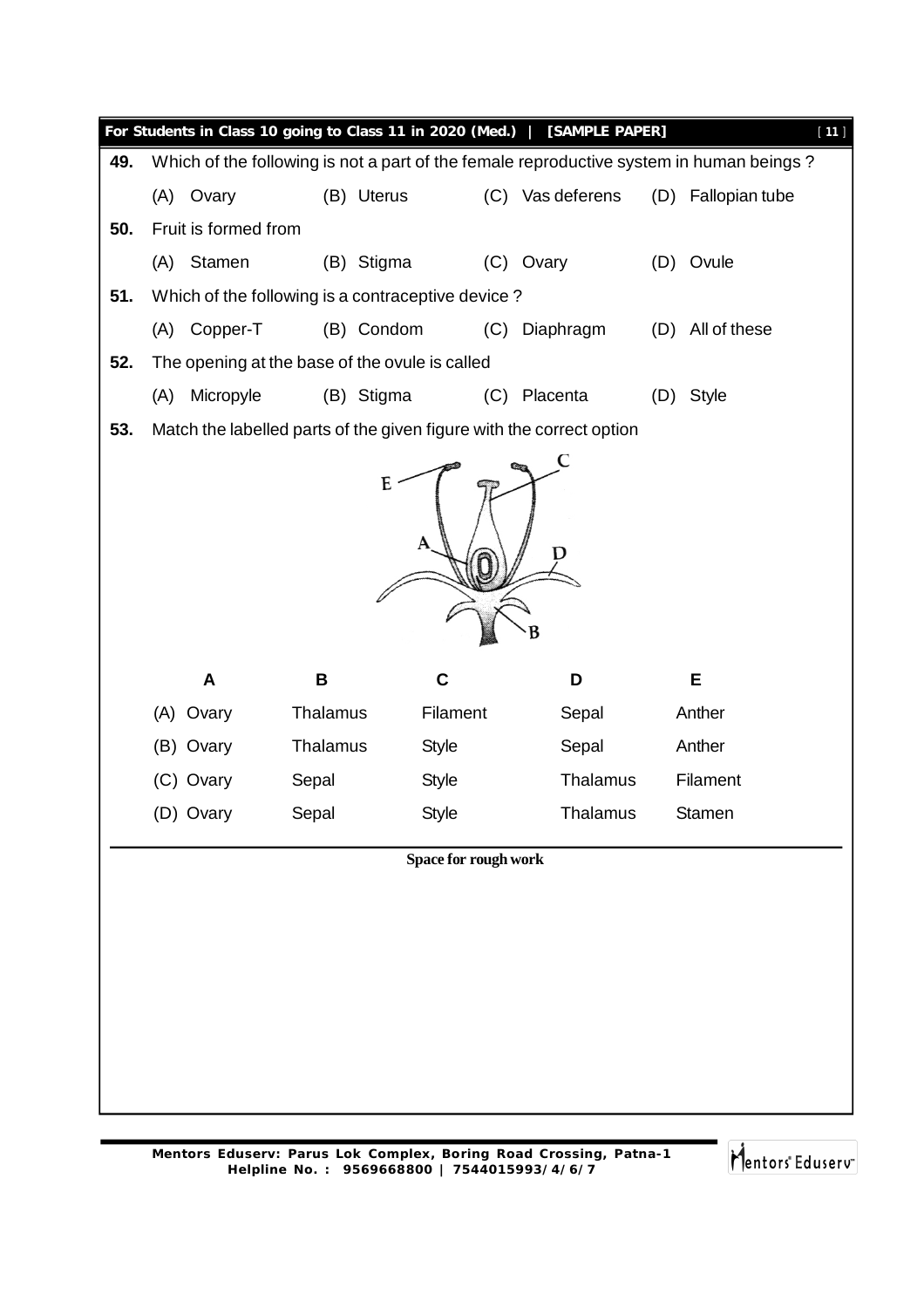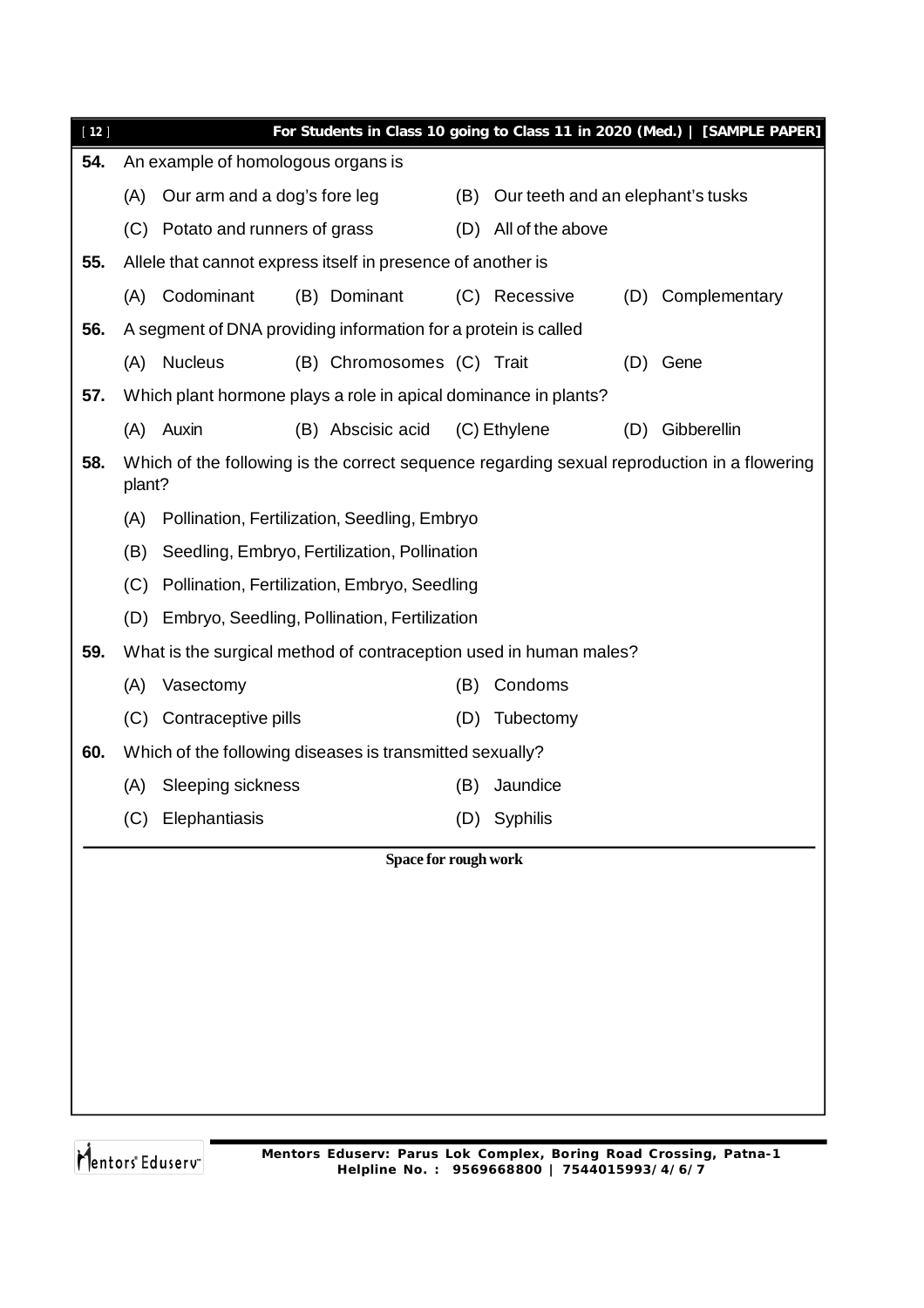| (B) Our teeth and an elephant's tusks                                                       |  |  |  |  |  |
|---------------------------------------------------------------------------------------------|--|--|--|--|--|
|                                                                                             |  |  |  |  |  |
|                                                                                             |  |  |  |  |  |
| Complementary                                                                               |  |  |  |  |  |
|                                                                                             |  |  |  |  |  |
|                                                                                             |  |  |  |  |  |
|                                                                                             |  |  |  |  |  |
| Gibberellin                                                                                 |  |  |  |  |  |
| Which of the following is the correct sequence regarding sexual reproduction in a flowering |  |  |  |  |  |
|                                                                                             |  |  |  |  |  |
|                                                                                             |  |  |  |  |  |
|                                                                                             |  |  |  |  |  |
|                                                                                             |  |  |  |  |  |
|                                                                                             |  |  |  |  |  |
| Condoms<br>(B)                                                                              |  |  |  |  |  |
|                                                                                             |  |  |  |  |  |
|                                                                                             |  |  |  |  |  |
|                                                                                             |  |  |  |  |  |
|                                                                                             |  |  |  |  |  |
|                                                                                             |  |  |  |  |  |
|                                                                                             |  |  |  |  |  |
|                                                                                             |  |  |  |  |  |
|                                                                                             |  |  |  |  |  |
|                                                                                             |  |  |  |  |  |
|                                                                                             |  |  |  |  |  |
|                                                                                             |  |  |  |  |  |
|                                                                                             |  |  |  |  |  |
| Space for rough work                                                                        |  |  |  |  |  |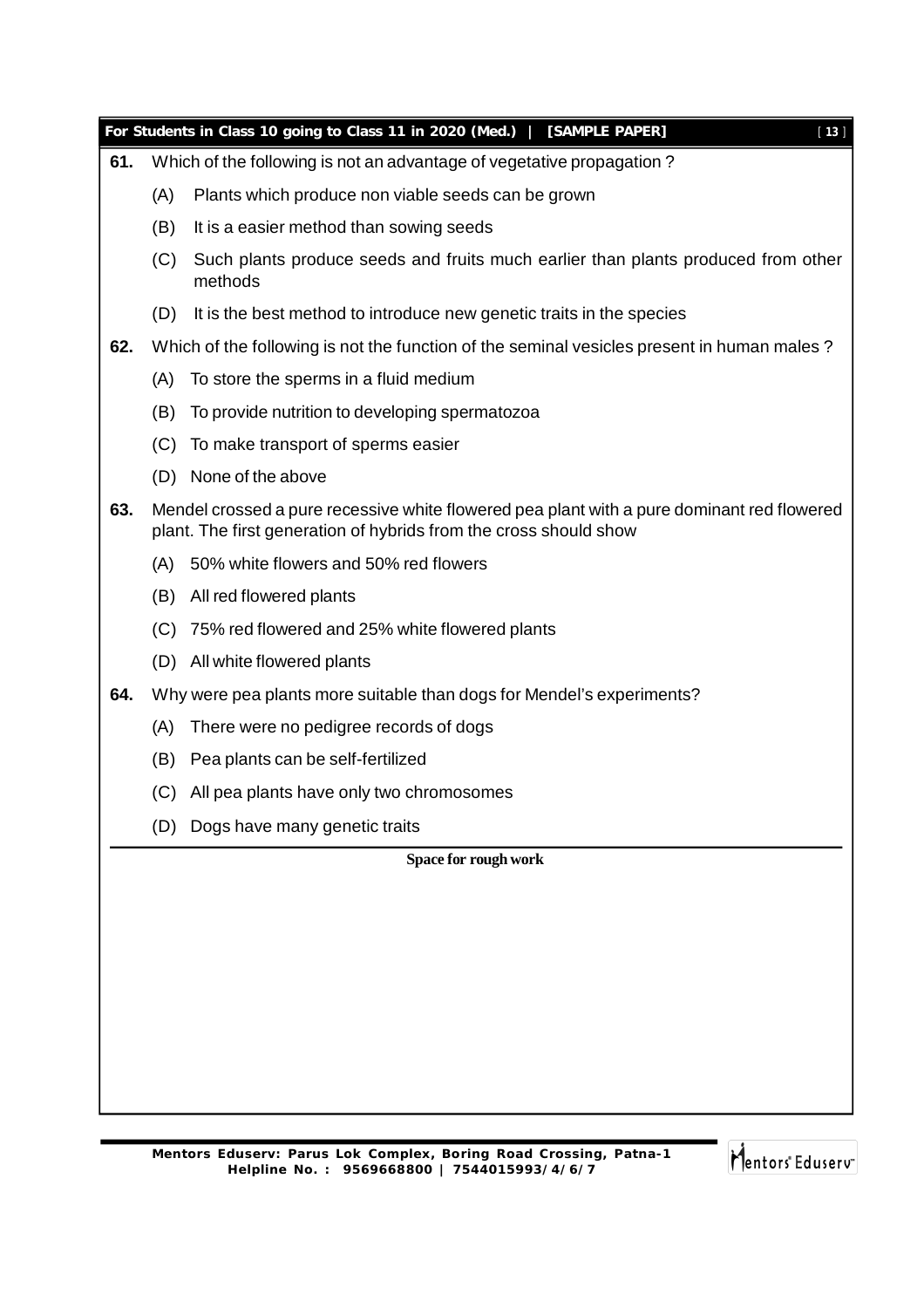|     |     | For Students in Class 10 going to Class 11 in 2020 (Med.)  <br>[SAMPLE PAPER]<br>$[13]$                                                                         |
|-----|-----|-----------------------------------------------------------------------------------------------------------------------------------------------------------------|
| 61. |     | Which of the following is not an advantage of vegetative propagation?                                                                                           |
|     | (A) | Plants which produce non viable seeds can be grown                                                                                                              |
|     | (B) | It is a easier method than sowing seeds                                                                                                                         |
|     | (C) | Such plants produce seeds and fruits much earlier than plants produced from other<br>methods                                                                    |
|     | (D) | It is the best method to introduce new genetic traits in the species                                                                                            |
| 62. |     | Which of the following is not the function of the seminal vesicles present in human males?                                                                      |
|     | (A) | To store the sperms in a fluid medium                                                                                                                           |
|     | (B) | To provide nutrition to developing spermatozoa                                                                                                                  |
|     | (C) | To make transport of sperms easier                                                                                                                              |
|     | (D) | None of the above                                                                                                                                               |
| 63. |     | Mendel crossed a pure recessive white flowered pea plant with a pure dominant red flowered<br>plant. The first generation of hybrids from the cross should show |
|     | (A) | 50% white flowers and 50% red flowers                                                                                                                           |
|     | (B) | All red flowered plants                                                                                                                                         |
|     | (C) | 75% red flowered and 25% white flowered plants                                                                                                                  |
|     | (D) | All white flowered plants                                                                                                                                       |
| 64. |     | Why were pea plants more suitable than dogs for Mendel's experiments?                                                                                           |
|     | (A) | There were no pedigree records of dogs                                                                                                                          |
|     | (B) | Pea plants can be self-fertilized                                                                                                                               |
|     | (C) | All pea plants have only two chromosomes                                                                                                                        |
|     | (D) | Dogs have many genetic traits                                                                                                                                   |
|     |     | Space for rough work                                                                                                                                            |
|     |     |                                                                                                                                                                 |
|     |     |                                                                                                                                                                 |
|     |     |                                                                                                                                                                 |
|     |     |                                                                                                                                                                 |
|     |     |                                                                                                                                                                 |
|     |     |                                                                                                                                                                 |

Mentors<sup>®</sup> Eduserv<sup>®</sup>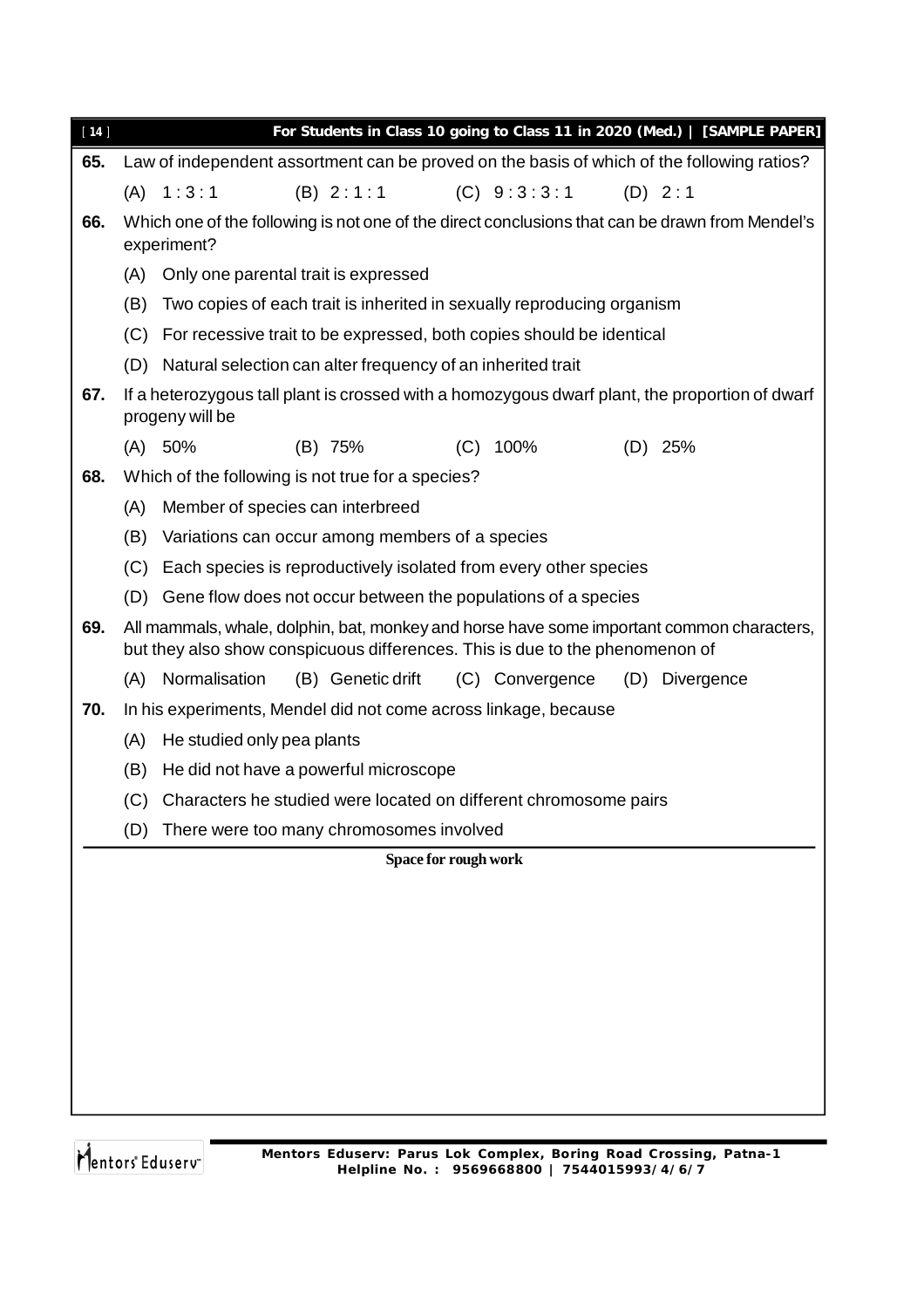| $[14]$ |     | For Students in Class 10 going to Class 11 in 2020 (Med.)   [SAMPLE PAPER]                                                                                                |
|--------|-----|---------------------------------------------------------------------------------------------------------------------------------------------------------------------------|
| 65.    |     | Law of independent assortment can be proved on the basis of which of the following ratios?                                                                                |
|        |     | (B) 2:1:1<br>(C) 9:3:3:1<br>(A) 1:3:1<br>(D) 2:1                                                                                                                          |
| 66.    |     | Which one of the following is not one of the direct conclusions that can be drawn from Mendel's<br>experiment?                                                            |
|        | (A) | Only one parental trait is expressed                                                                                                                                      |
|        | (B) | Two copies of each trait is inherited in sexually reproducing organism                                                                                                    |
|        | (C) | For recessive trait to be expressed, both copies should be identical                                                                                                      |
|        | (D) | Natural selection can alter frequency of an inherited trait                                                                                                               |
| 67.    |     | If a heterozygous tall plant is crossed with a homozygous dwarf plant, the proportion of dwarf<br>progeny will be                                                         |
|        |     | (A) 50%<br>(B) 75%<br>$(C)$ 100%<br>$(D)$ 25%                                                                                                                             |
| 68.    |     | Which of the following is not true for a species?                                                                                                                         |
|        | (A) | Member of species can interbreed                                                                                                                                          |
|        | (B) | Variations can occur among members of a species                                                                                                                           |
|        | (C) | Each species is reproductively isolated from every other species                                                                                                          |
|        | (D) | Gene flow does not occur between the populations of a species                                                                                                             |
| 69.    |     | All mammals, whale, dolphin, bat, monkey and horse have some important common characters,<br>but they also show conspicuous differences. This is due to the phenomenon of |
|        |     | (A) Normalisation<br>(B) Genetic drift<br>(C) Convergence<br>(D) Divergence                                                                                               |
| 70.    |     | In his experiments, Mendel did not come across linkage, because                                                                                                           |
|        | (A) | He studied only pea plants                                                                                                                                                |
|        | (B) | He did not have a powerful microscope                                                                                                                                     |
|        | (C) | Characters he studied were located on different chromosome pairs                                                                                                          |
|        | (D) | There were too many chromosomes involved                                                                                                                                  |
|        |     | Space for rough work                                                                                                                                                      |
|        |     |                                                                                                                                                                           |
|        |     |                                                                                                                                                                           |
|        |     |                                                                                                                                                                           |
|        |     |                                                                                                                                                                           |
|        |     |                                                                                                                                                                           |
|        |     |                                                                                                                                                                           |
|        |     |                                                                                                                                                                           |
|        |     |                                                                                                                                                                           |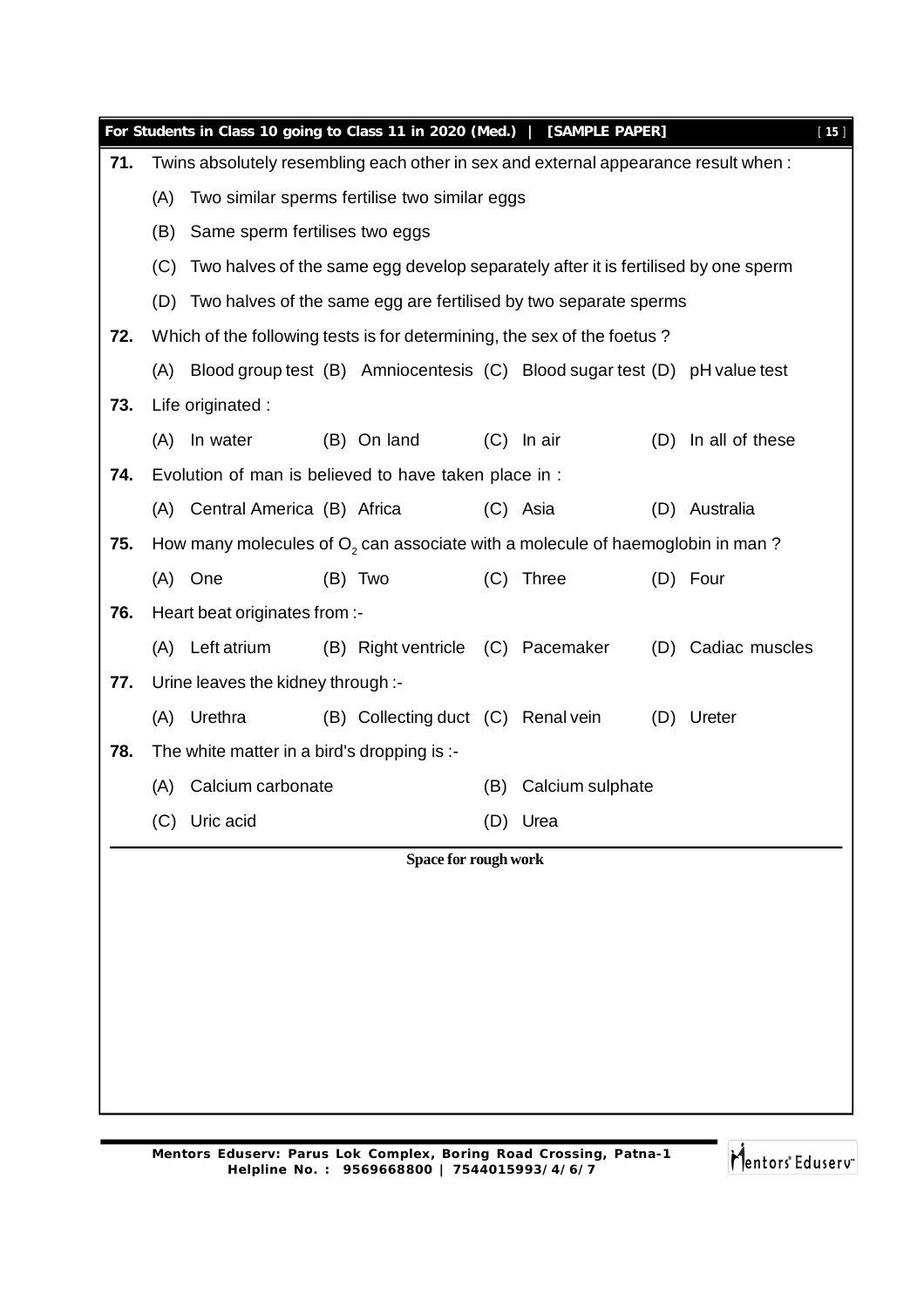|     |                                                                                  | For Students in Class 10 going to Class 11 in 2020 (Med.)   [SAMPLE PAPER]          |  |                                    |     |                  |  |                     | $[15]$ |
|-----|----------------------------------------------------------------------------------|-------------------------------------------------------------------------------------|--|------------------------------------|-----|------------------|--|---------------------|--------|
| 71. |                                                                                  | Twins absolutely resembling each other in sex and external appearance result when : |  |                                    |     |                  |  |                     |        |
|     | (A)                                                                              | Two similar sperms fertilise two similar eggs                                       |  |                                    |     |                  |  |                     |        |
|     | (B)                                                                              | Same sperm fertilises two eggs                                                      |  |                                    |     |                  |  |                     |        |
|     | (C)                                                                              | Two halves of the same egg develop separately after it is fertilised by one sperm   |  |                                    |     |                  |  |                     |        |
|     | (D)                                                                              | Two halves of the same egg are fertilised by two separate sperms                    |  |                                    |     |                  |  |                     |        |
| 72. |                                                                                  | Which of the following tests is for determining, the sex of the foetus?             |  |                                    |     |                  |  |                     |        |
|     | Blood group test (B) Amniocentesis (C) Blood sugar test (D) pH value test<br>(A) |                                                                                     |  |                                    |     |                  |  |                     |        |
| 73. |                                                                                  | Life originated :                                                                   |  |                                    |     |                  |  |                     |        |
|     | (A)                                                                              | In water                                                                            |  | (B) On land                        |     | $(C)$ In air     |  | (D) In all of these |        |
| 74. |                                                                                  | Evolution of man is believed to have taken place in :                               |  |                                    |     |                  |  |                     |        |
|     | (A)                                                                              | Central America (B) Africa                                                          |  |                                    |     | (C) Asia         |  | (D) Australia       |        |
| 75. |                                                                                  | How many molecules of $O_2$ can associate with a molecule of haemoglobin in man?    |  |                                    |     |                  |  |                     |        |
|     |                                                                                  | (A) One                                                                             |  | $(B)$ Two                          |     | (C) Three        |  | (D) Four            |        |
| 76. |                                                                                  | Heart beat originates from :-                                                       |  |                                    |     |                  |  |                     |        |
|     |                                                                                  | (A) Left atrium                                                                     |  | (B) Right ventricle (C) Pacemaker  |     |                  |  | (D) Cadiac muscles  |        |
| 77. |                                                                                  | Urine leaves the kidney through :-                                                  |  |                                    |     |                  |  |                     |        |
|     |                                                                                  | (A) Urethra                                                                         |  | (B) Collecting duct (C) Renal vein |     |                  |  | (D) Ureter          |        |
| 78. |                                                                                  | The white matter in a bird's dropping is :-                                         |  |                                    |     |                  |  |                     |        |
|     | (A)                                                                              | Calcium carbonate                                                                   |  |                                    | (B) | Calcium sulphate |  |                     |        |
|     |                                                                                  | (C) Uric acid                                                                       |  |                                    |     | (D) Urea         |  |                     |        |
|     |                                                                                  |                                                                                     |  | Space for rough work               |     |                  |  |                     |        |
|     |                                                                                  |                                                                                     |  |                                    |     |                  |  |                     |        |
|     |                                                                                  |                                                                                     |  |                                    |     |                  |  |                     |        |
|     |                                                                                  |                                                                                     |  |                                    |     |                  |  |                     |        |
|     |                                                                                  |                                                                                     |  |                                    |     |                  |  |                     |        |
|     |                                                                                  |                                                                                     |  |                                    |     |                  |  |                     |        |
|     |                                                                                  |                                                                                     |  |                                    |     |                  |  |                     |        |
|     |                                                                                  |                                                                                     |  |                                    |     |                  |  |                     |        |

Mentors<sup>e</sup> Eduserv<sup>-</sup>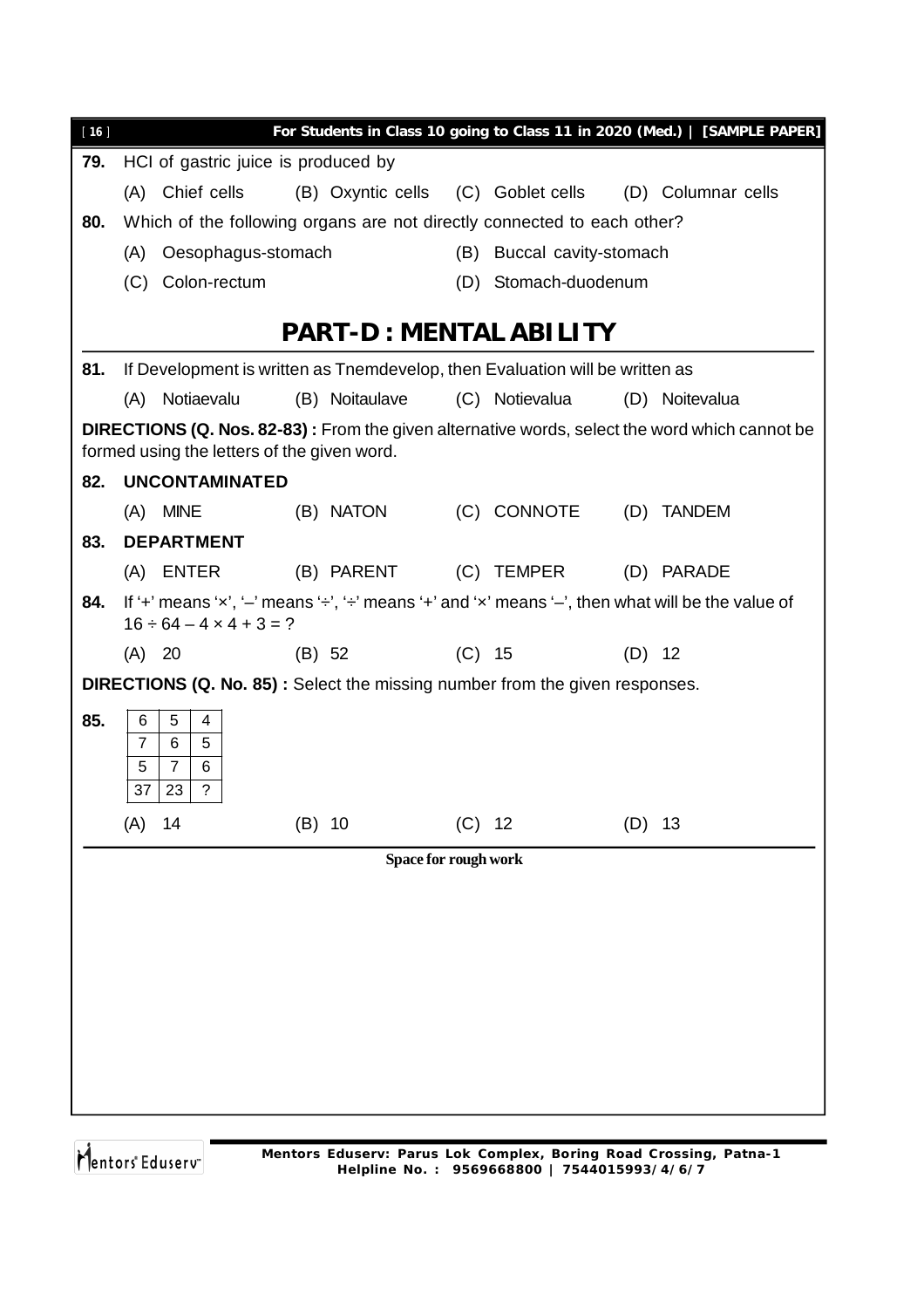| $[16]$ |                      |                                                                                     |          |                |          |                               |          | For Students in Class 10 going to Class 11 in 2020 (Med.)   [SAMPLE PAPER]                           |
|--------|----------------------|-------------------------------------------------------------------------------------|----------|----------------|----------|-------------------------------|----------|------------------------------------------------------------------------------------------------------|
| 79.    |                      | HCI of gastric juice is produced by                                                 |          |                |          |                               |          |                                                                                                      |
|        |                      | (A) Chief cells                                                                     |          |                |          |                               |          | (B) Oxyntic cells (C) Goblet cells (D) Columnar cells                                                |
| 80.    |                      | Which of the following organs are not directly connected to each other?             |          |                |          |                               |          |                                                                                                      |
|        | (A)                  | Oesophagus-stomach                                                                  |          |                |          | (B) Buccal cavity-stomach     |          |                                                                                                      |
|        |                      | (C) Colon-rectum                                                                    |          |                |          | (D) Stomach-duodenum          |          |                                                                                                      |
|        |                      |                                                                                     |          |                |          | <b>PART-D: MENTAL ABILITY</b> |          |                                                                                                      |
| 81.    |                      | If Development is written as Tnemdevelop, then Evaluation will be written as        |          |                |          |                               |          |                                                                                                      |
|        | (A)                  | Notiaevalu                                                                          |          | (B) Noitaulave |          | (C) Notievalua                |          | (D) Noitevalua                                                                                       |
|        |                      |                                                                                     |          |                |          |                               |          | <b>DIRECTIONS (Q. Nos. 82-83):</b> From the given alternative words, select the word which cannot be |
|        |                      | formed using the letters of the given word.                                         |          |                |          |                               |          |                                                                                                      |
| 82.    |                      | <b>UNCONTAMINATED</b>                                                               |          |                |          |                               |          |                                                                                                      |
|        |                      | (A) MINE                                                                            |          | (B) NATON      |          | (C) CONNOTE                   |          | (D) TANDEM                                                                                           |
| 83.    |                      | <b>DEPARTMENT</b>                                                                   |          |                |          |                               |          |                                                                                                      |
|        |                      | (A) ENTER                                                                           |          | (B) PARENT     |          | (C) TEMPER (D) PARADE         |          |                                                                                                      |
| 84.    |                      | $16 \div 64 - 4 \times 4 + 3 = ?$                                                   |          |                |          |                               |          | If '+' means 'x', '-' means '+', '+' means '+' and 'x' means '-', then what will be the value of     |
|        | (A) 20               |                                                                                     | (B) 52   |                | $(C)$ 15 |                               | $(D)$ 12 |                                                                                                      |
|        |                      | <b>DIRECTIONS (Q. No. 85)</b> : Select the missing number from the given responses. |          |                |          |                               |          |                                                                                                      |
| 85.    | 6<br>$\overline{7}$  | 5<br>4<br>5<br>6                                                                    |          |                |          |                               |          |                                                                                                      |
|        | 5<br>37              | 6<br>$\overline{7}$<br>$\overline{\phantom{a}}$<br>23                               |          |                |          |                               |          |                                                                                                      |
|        |                      |                                                                                     |          |                |          |                               |          |                                                                                                      |
|        | (A)                  | 14                                                                                  | $(B)$ 10 |                | $(C)$ 12 |                               | (D)      | 13                                                                                                   |
|        | Space for rough work |                                                                                     |          |                |          |                               |          |                                                                                                      |
|        |                      |                                                                                     |          |                |          |                               |          |                                                                                                      |
|        |                      |                                                                                     |          |                |          |                               |          |                                                                                                      |
|        |                      |                                                                                     |          |                |          |                               |          |                                                                                                      |
|        |                      |                                                                                     |          |                |          |                               |          |                                                                                                      |
|        |                      |                                                                                     |          |                |          |                               |          |                                                                                                      |
|        |                      |                                                                                     |          |                |          |                               |          |                                                                                                      |
|        |                      |                                                                                     |          |                |          |                               |          |                                                                                                      |
|        |                      |                                                                                     |          |                |          |                               |          |                                                                                                      |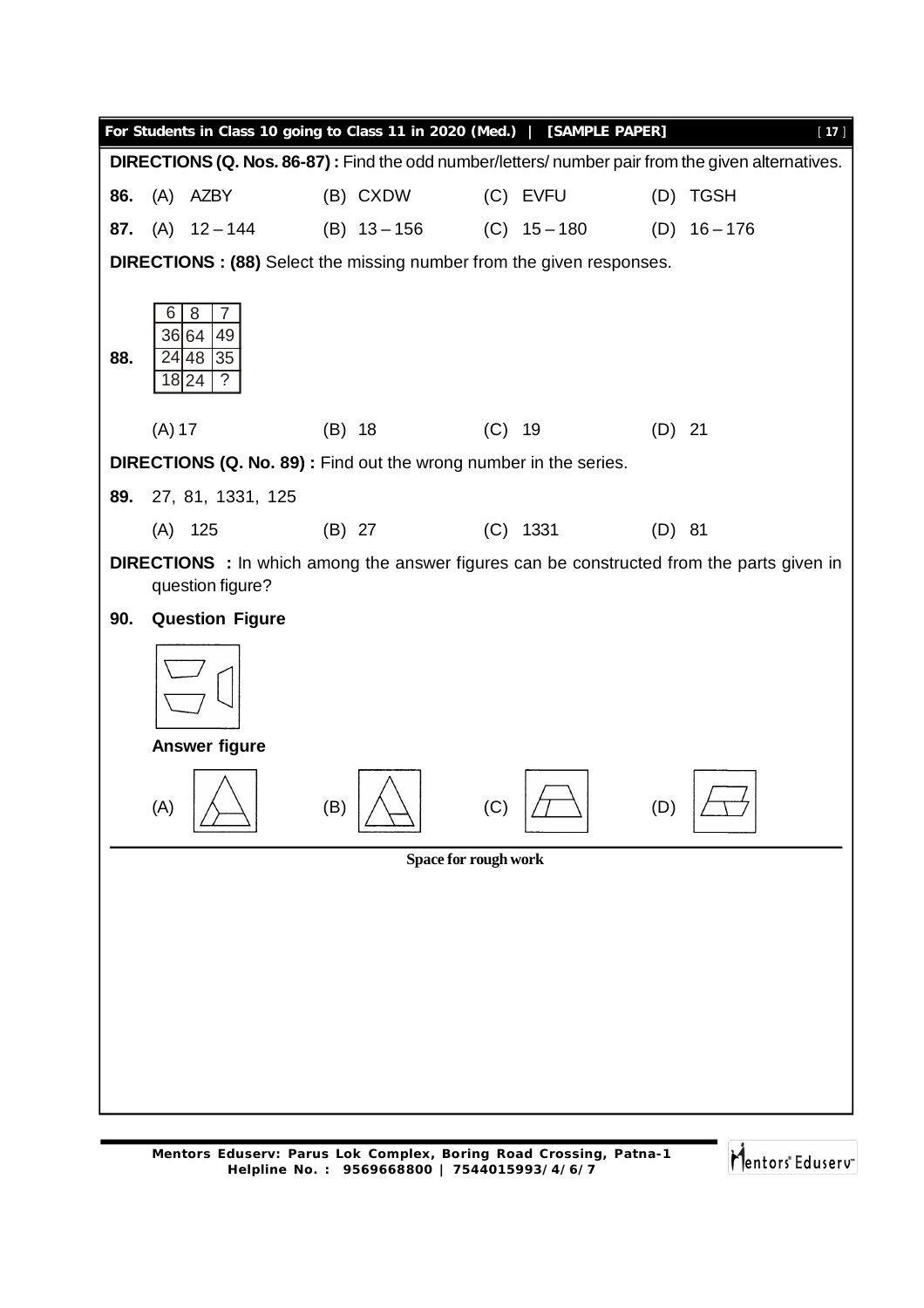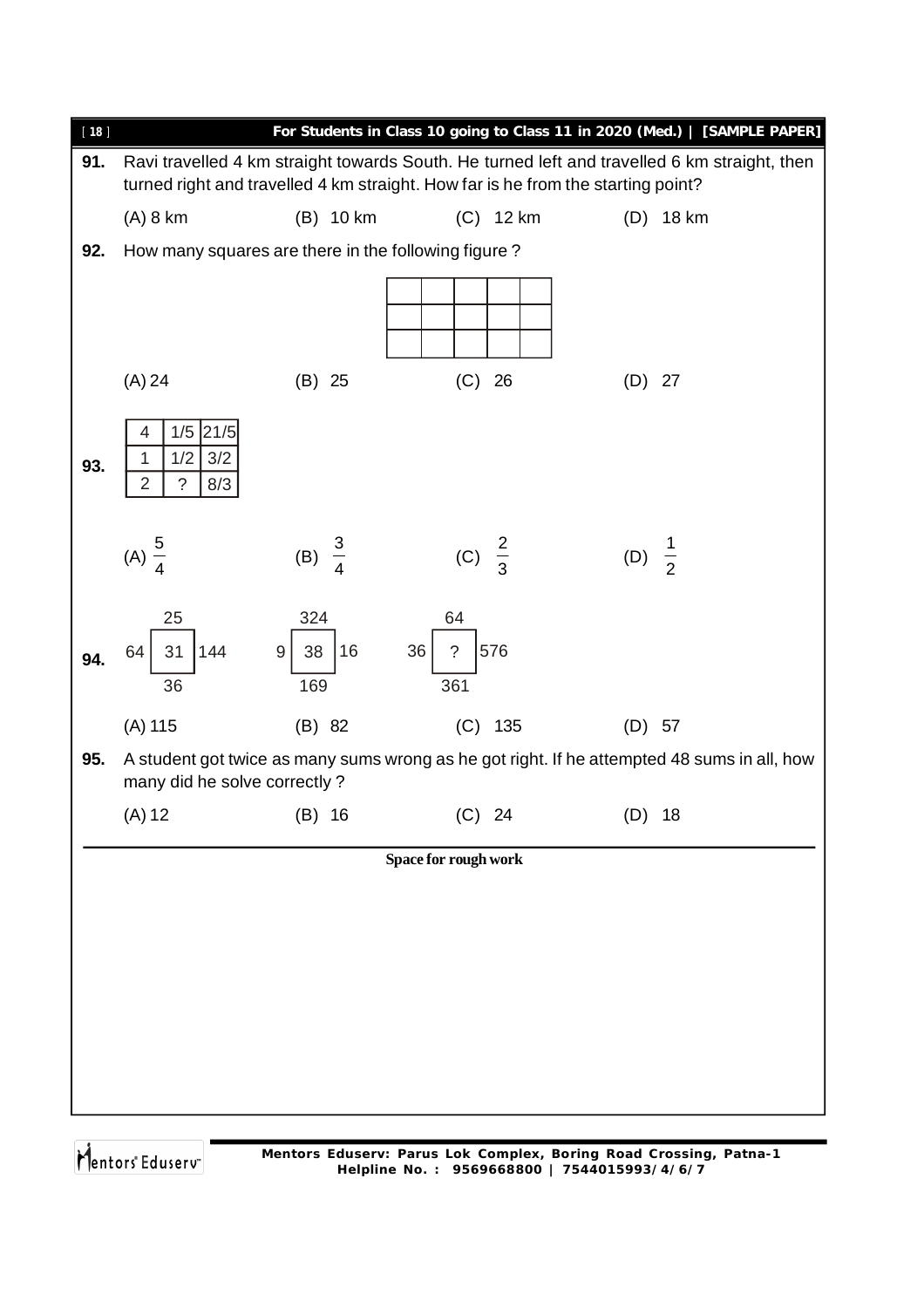

Mentors Eduserv<sup>®</sup>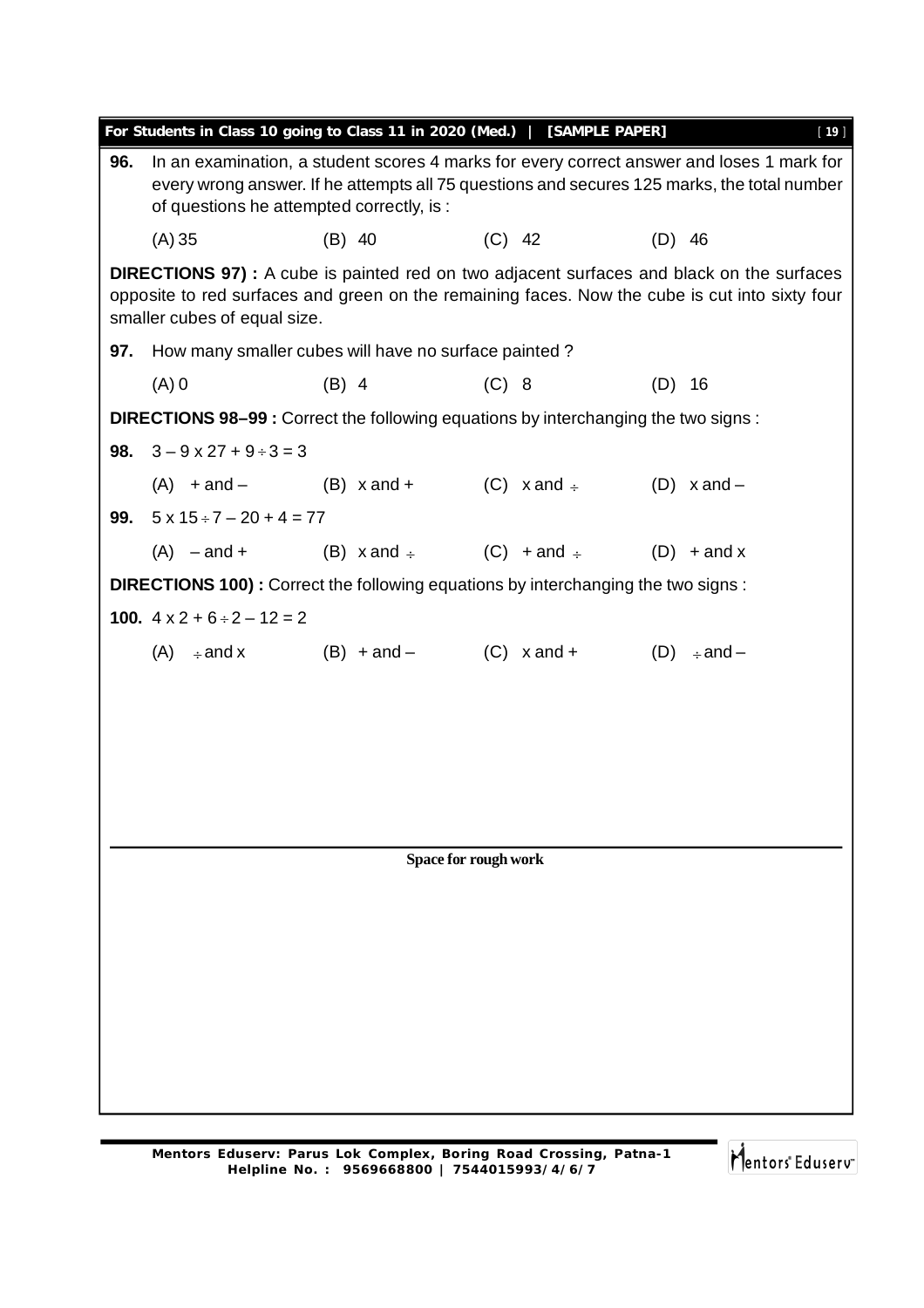|     |                                                                                                                                                                                                                                       |                                                      | For Students in Class 10 going to Class 11 in 2020 (Med.)   [SAMPLE PAPER]          | $[19]$                                                                                                                                                                                             |  |  |  |
|-----|---------------------------------------------------------------------------------------------------------------------------------------------------------------------------------------------------------------------------------------|------------------------------------------------------|-------------------------------------------------------------------------------------|----------------------------------------------------------------------------------------------------------------------------------------------------------------------------------------------------|--|--|--|
| 96. | In an examination, a student scores 4 marks for every correct answer and loses 1 mark for<br>every wrong answer. If he attempts all 75 questions and secures 125 marks, the total number<br>of questions he attempted correctly, is : |                                                      |                                                                                     |                                                                                                                                                                                                    |  |  |  |
|     | (A) 35                                                                                                                                                                                                                                | $(B)$ 40                                             | $(C)$ 42                                                                            | $(D)$ 46                                                                                                                                                                                           |  |  |  |
|     | smaller cubes of equal size.                                                                                                                                                                                                          |                                                      |                                                                                     | <b>DIRECTIONS 97)</b> : A cube is painted red on two adjacent surfaces and black on the surfaces<br>opposite to red surfaces and green on the remaining faces. Now the cube is cut into sixty four |  |  |  |
| 97. |                                                                                                                                                                                                                                       | How many smaller cubes will have no surface painted? |                                                                                     |                                                                                                                                                                                                    |  |  |  |
|     | $(A)$ 0                                                                                                                                                                                                                               | $(B)$ 4                                              | (C) 8                                                                               | $(D)$ 16                                                                                                                                                                                           |  |  |  |
|     |                                                                                                                                                                                                                                       |                                                      | DIRECTIONS 98-99 : Correct the following equations by interchanging the two signs : |                                                                                                                                                                                                    |  |  |  |
|     | 98. $3 - 9 \times 27 + 9 \div 3 = 3$                                                                                                                                                                                                  |                                                      |                                                                                     |                                                                                                                                                                                                    |  |  |  |
|     |                                                                                                                                                                                                                                       |                                                      | (A) $+$ and $-$ (B) $x$ and $+$ (C) $x$ and $\div$                                  | $(D)$ x and $-$                                                                                                                                                                                    |  |  |  |
|     | 99. $5 \times 15 \div 7 - 20 + 4 = 77$                                                                                                                                                                                                |                                                      |                                                                                     |                                                                                                                                                                                                    |  |  |  |
|     |                                                                                                                                                                                                                                       |                                                      | $(A)$ -and + $(B)$ x and $\div$ $(C)$ + and $\div$ $(D)$ + and x                    |                                                                                                                                                                                                    |  |  |  |
|     |                                                                                                                                                                                                                                       |                                                      | DIRECTIONS 100): Correct the following equations by interchanging the two signs:    |                                                                                                                                                                                                    |  |  |  |
|     | 100. $4 \times 2 + 6 \div 2 - 12 = 2$                                                                                                                                                                                                 |                                                      |                                                                                     |                                                                                                                                                                                                    |  |  |  |
|     |                                                                                                                                                                                                                                       |                                                      | $(A) \div and x$ $(B) + and  (C) x$ and $+$                                         | $(D)$ $\div$ and $-$                                                                                                                                                                               |  |  |  |
|     |                                                                                                                                                                                                                                       |                                                      |                                                                                     |                                                                                                                                                                                                    |  |  |  |
|     |                                                                                                                                                                                                                                       |                                                      |                                                                                     |                                                                                                                                                                                                    |  |  |  |
|     |                                                                                                                                                                                                                                       |                                                      |                                                                                     |                                                                                                                                                                                                    |  |  |  |
|     |                                                                                                                                                                                                                                       |                                                      |                                                                                     |                                                                                                                                                                                                    |  |  |  |
|     |                                                                                                                                                                                                                                       |                                                      |                                                                                     |                                                                                                                                                                                                    |  |  |  |
|     |                                                                                                                                                                                                                                       |                                                      | Space for rough work                                                                |                                                                                                                                                                                                    |  |  |  |
|     |                                                                                                                                                                                                                                       |                                                      |                                                                                     |                                                                                                                                                                                                    |  |  |  |
|     |                                                                                                                                                                                                                                       |                                                      |                                                                                     |                                                                                                                                                                                                    |  |  |  |
|     |                                                                                                                                                                                                                                       |                                                      |                                                                                     |                                                                                                                                                                                                    |  |  |  |
|     |                                                                                                                                                                                                                                       |                                                      |                                                                                     |                                                                                                                                                                                                    |  |  |  |
|     |                                                                                                                                                                                                                                       |                                                      |                                                                                     |                                                                                                                                                                                                    |  |  |  |
|     |                                                                                                                                                                                                                                       |                                                      |                                                                                     |                                                                                                                                                                                                    |  |  |  |
|     |                                                                                                                                                                                                                                       |                                                      |                                                                                     |                                                                                                                                                                                                    |  |  |  |
|     |                                                                                                                                                                                                                                       |                                                      |                                                                                     |                                                                                                                                                                                                    |  |  |  |

Mentors<sup>e</sup> Eduserv<sup>-</sup>